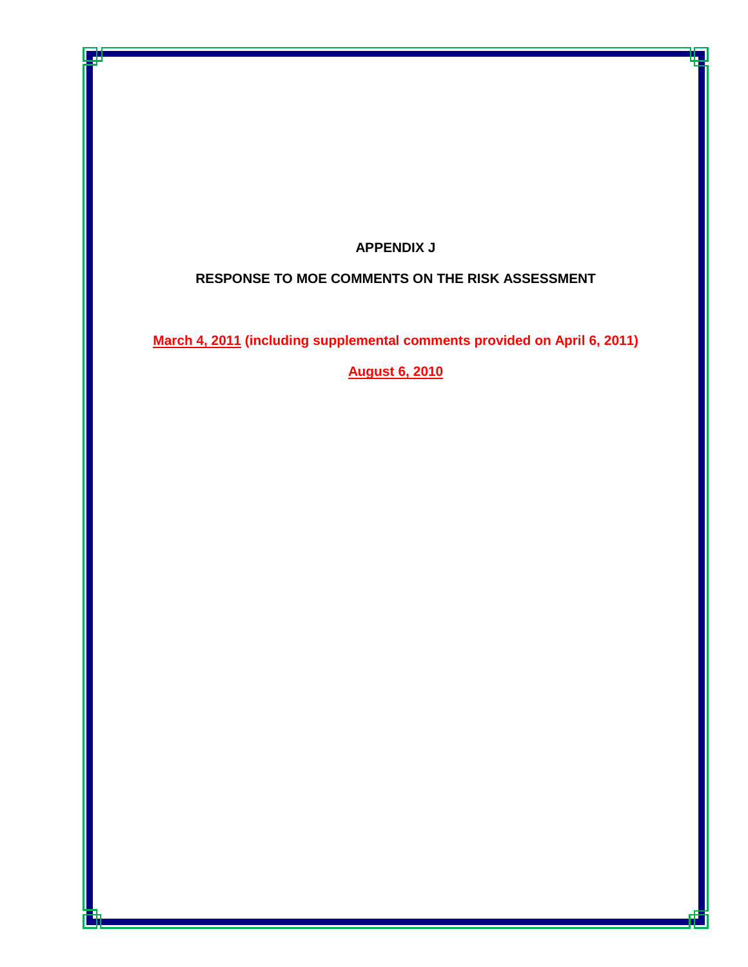# **APPENDIX J**

# **RESPONSE TO MOE COMMENTS ON THE RISK ASSESSMENT**

**March 4, 2011 (including supplemental comments provided on April 6, 2011)**

**August 6, 2010**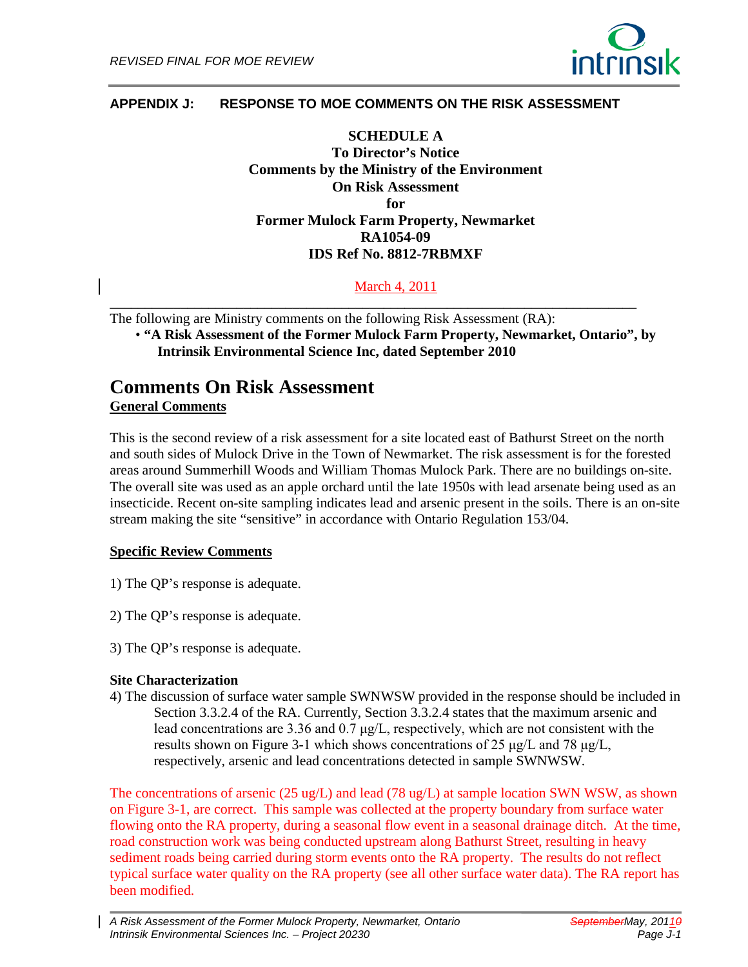

## **APPENDIX J: RESPONSE TO MOE COMMENTS ON THE RISK ASSESSMENT**

**SCHEDULE A To Director's Notice Comments by the Ministry of the Environment On Risk Assessment for Former Mulock Farm Property, Newmarket RA1054-09 IDS Ref No. 8812-7RBMXF**

March 4, 2011

\_\_\_\_\_\_\_\_\_\_\_\_\_\_\_\_\_\_\_\_\_\_\_\_\_\_\_\_\_\_\_\_\_\_\_\_\_\_\_\_\_\_\_\_\_\_\_\_\_\_\_\_\_\_\_\_\_\_\_\_\_\_\_\_\_\_\_\_\_\_\_\_\_\_\_ The following are Ministry comments on the following Risk Assessment (RA): • **"A Risk Assessment of the Former Mulock Farm Property, Newmarket, Ontario", by Intrinsik Environmental Science Inc, dated September 2010** 

# **Comments On Risk Assessment General Comments**

This is the second review of a risk assessment for a site located east of Bathurst Street on the north and south sides of Mulock Drive in the Town of Newmarket. The risk assessment is for the forested areas around Summerhill Woods and William Thomas Mulock Park. There are no buildings on-site. The overall site was used as an apple orchard until the late 1950s with lead arsenate being used as an insecticide. Recent on-site sampling indicates lead and arsenic present in the soils. There is an on-site stream making the site "sensitive" in accordance with Ontario Regulation 153/04.

#### **Specific Review Comments**

- 1) The QP's response is adequate.
- 2) The QP's response is adequate.
- 3) The QP's response is adequate.

#### **Site Characterization**

4) The discussion of surface water sample SWNWSW provided in the response should be included in Section 3.3.2.4 of the RA. Currently, Section 3.3.2.4 states that the maximum arsenic and lead concentrations are 3.36 and 0.7 μg/L, respectively, which are not consistent with the results shown on Figure 3-1 which shows concentrations of 25 μg/L and 78 μg/L, respectively, arsenic and lead concentrations detected in sample SWNWSW.

The concentrations of arsenic (25 ug/L) and lead (78 ug/L) at sample location SWN WSW, as shown on Figure 3-1, are correct. This sample was collected at the property boundary from surface water flowing onto the RA property, during a seasonal flow event in a seasonal drainage ditch. At the time, road construction work was being conducted upstream along Bathurst Street, resulting in heavy sediment roads being carried during storm events onto the RA property. The results do not reflect typical surface water quality on the RA property (see all other surface water data). The RA report has been modified.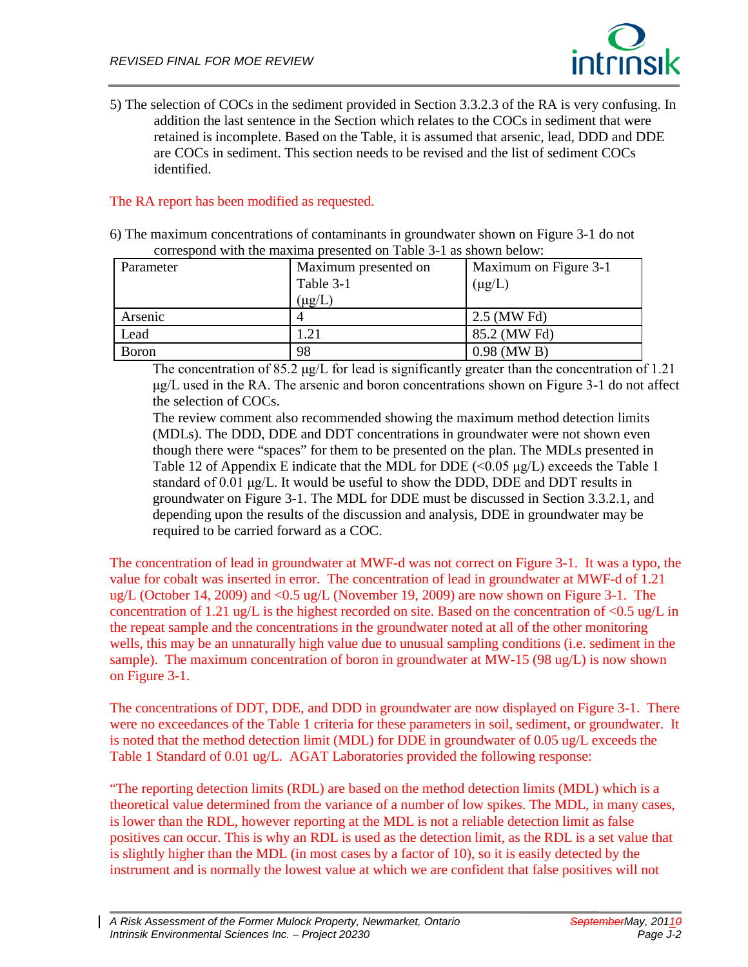

5) The selection of COCs in the sediment provided in Section 3.3.2.3 of the RA is very confusing. In addition the last sentence in the Section which relates to the COCs in sediment that were retained is incomplete. Based on the Table, it is assumed that arsenic, lead, DDD and DDE are COCs in sediment. This section needs to be revised and the list of sediment COCs identified.

## The RA report has been modified as requested.

6) The maximum concentrations of contaminants in groundwater shown on Figure 3-1 do not correspond with the maxima presented on Table 3-1 as shown below:

| Parameter     | Maximum presented on<br>Table 3-1<br>$(\mu g/L)$ | Maximum on Figure 3-1<br>$(\mu g/L)$ |  |  |  |  |
|---------------|--------------------------------------------------|--------------------------------------|--|--|--|--|
| Arsenic       |                                                  | 2.5 (MW Fd)                          |  |  |  |  |
| Lead          | 1.21                                             | 85.2 (MW Fd)                         |  |  |  |  |
| <b>B</b> oron | 98                                               | $0.98$ (MW B)                        |  |  |  |  |

The concentration of 85.2 μg/L for lead is significantly greater than the concentration of 1.21 μg/L used in the RA. The arsenic and boron concentrations shown on Figure 3-1 do not affect the selection of COCs.

The review comment also recommended showing the maximum method detection limits (MDLs). The DDD, DDE and DDT concentrations in groundwater were not shown even though there were "spaces" for them to be presented on the plan. The MDLs presented in Table 12 of Appendix E indicate that the MDL for DDE  $\leq 0.05 \mu g/L$  exceeds the Table 1 standard of 0.01 μg/L. It would be useful to show the DDD, DDE and DDT results in groundwater on Figure 3-1. The MDL for DDE must be discussed in Section 3.3.2.1, and depending upon the results of the discussion and analysis, DDE in groundwater may be required to be carried forward as a COC.

The concentration of lead in groundwater at MWF-d was not correct on Figure 3-1. It was a typo, the value for cobalt was inserted in error. The concentration of lead in groundwater at MWF-d of 1.21 ug/L (October 14, 2009) and <0.5 ug/L (November 19, 2009) are now shown on Figure 3-1. The concentration of 1.21 ug/L is the highest recorded on site. Based on the concentration of  $\langle 0.5 \text{ ug/L in} \rangle$ the repeat sample and the concentrations in the groundwater noted at all of the other monitoring wells, this may be an unnaturally high value due to unusual sampling conditions (i.e. sediment in the sample). The maximum concentration of boron in groundwater at MW-15 (98 ug/L) is now shown on Figure 3-1.

The concentrations of DDT, DDE, and DDD in groundwater are now displayed on Figure 3-1. There were no exceedances of the Table 1 criteria for these parameters in soil, sediment, or groundwater. It is noted that the method detection limit (MDL) for DDE in groundwater of 0.05 ug/L exceeds the Table 1 Standard of 0.01 ug/L. AGAT Laboratories provided the following response:

"The reporting detection limits (RDL) are based on the method detection limits (MDL) which is a theoretical value determined from the variance of a number of low spikes. The MDL, in many cases, is lower than the RDL, however reporting at the MDL is not a reliable detection limit as false positives can occur. This is why an RDL is used as the detection limit, as the RDL is a set value that is slightly higher than the MDL (in most cases by a factor of 10), so it is easily detected by the instrument and is normally the lowest value at which we are confident that false positives will not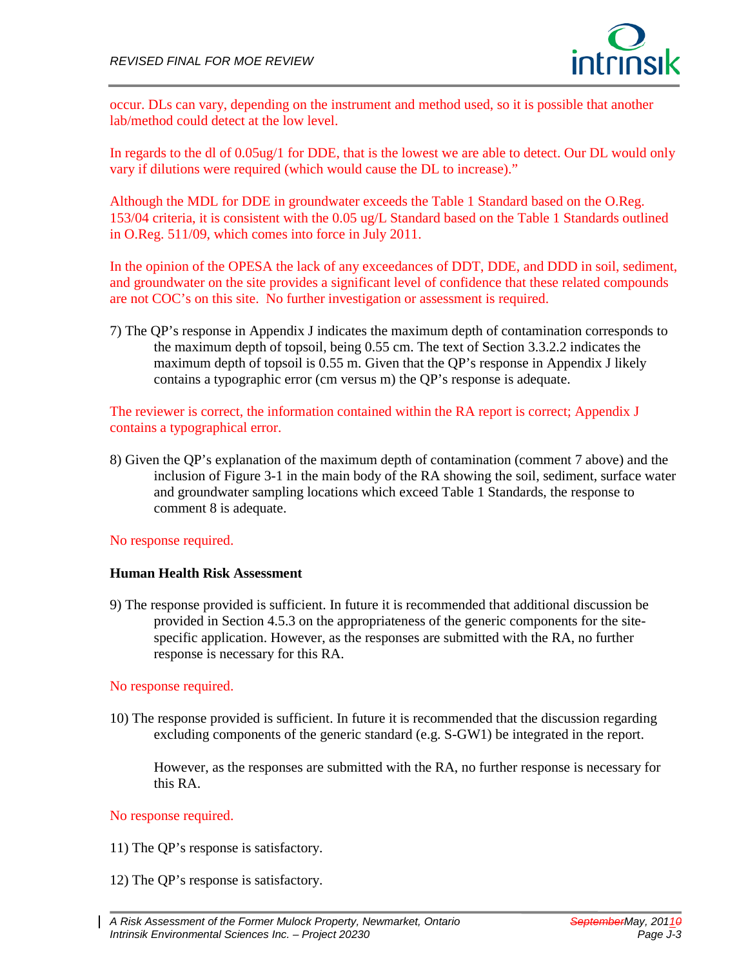

occur. DLs can vary, depending on the instrument and method used, so it is possible that another lab/method could detect at the low level.

In regards to the dl of 0.05ug/1 for DDE, that is the lowest we are able to detect. Our DL would only vary if dilutions were required (which would cause the DL to increase)."

Although the MDL for DDE in groundwater exceeds the Table 1 Standard based on the O.Reg. 153/04 criteria, it is consistent with the 0.05 ug/L Standard based on the Table 1 Standards outlined in O.Reg. 511/09, which comes into force in July 2011.

In the opinion of the OPESA the lack of any exceedances of DDT, DDE, and DDD in soil, sediment, and groundwater on the site provides a significant level of confidence that these related compounds are not COC's on this site. No further investigation or assessment is required.

7) The QP's response in Appendix J indicates the maximum depth of contamination corresponds to the maximum depth of topsoil, being 0.55 cm. The text of Section 3.3.2.2 indicates the maximum depth of topsoil is 0.55 m. Given that the QP's response in Appendix J likely contains a typographic error (cm versus m) the QP's response is adequate.

The reviewer is correct, the information contained within the RA report is correct; Appendix J contains a typographical error.

8) Given the QP's explanation of the maximum depth of contamination (comment 7 above) and the inclusion of Figure 3-1 in the main body of the RA showing the soil, sediment, surface water and groundwater sampling locations which exceed Table 1 Standards, the response to comment 8 is adequate.

No response required.

#### **Human Health Risk Assessment**

9) The response provided is sufficient. In future it is recommended that additional discussion be provided in Section 4.5.3 on the appropriateness of the generic components for the sitespecific application. However, as the responses are submitted with the RA, no further response is necessary for this RA.

#### No response required.

10) The response provided is sufficient. In future it is recommended that the discussion regarding excluding components of the generic standard (e.g. S-GW1) be integrated in the report.

However, as the responses are submitted with the RA, no further response is necessary for this RA.

#### No response required.

11) The QP's response is satisfactory.

- 12) The QP's response is satisfactory.
- *A Risk Assessment of the Former Mulock Property, Newmarket, Ontario SeptemberMay, 20110 Intrinsik Environmental Sciences Inc. – Project 20230 Page J-3*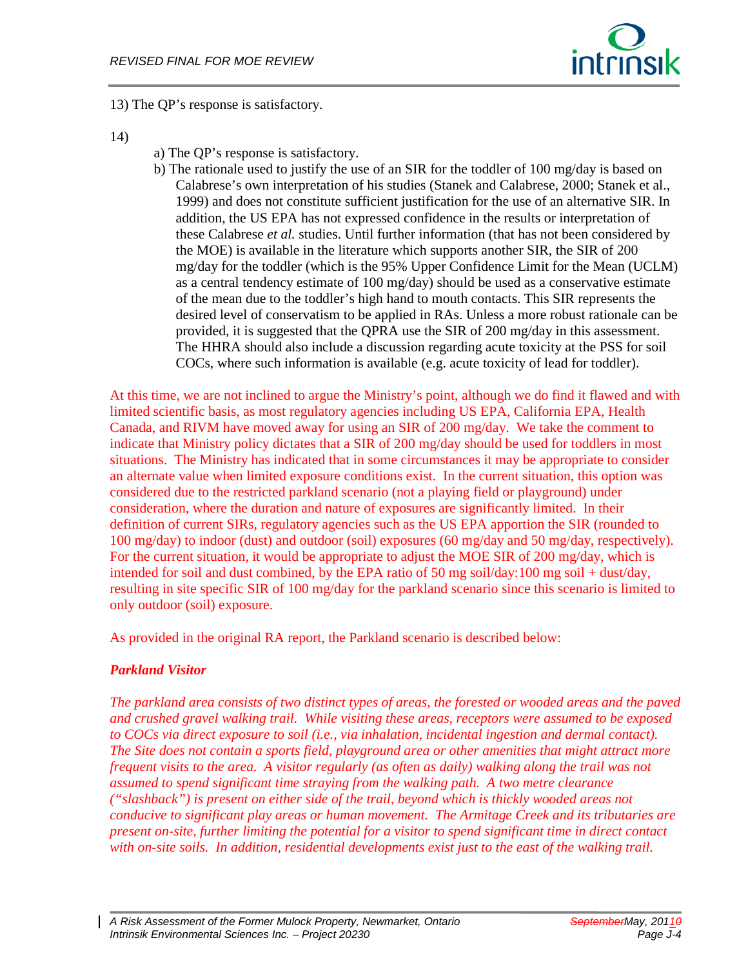

13) The QP's response is satisfactory.

- 14)
- a) The QP's response is satisfactory.
- b) The rationale used to justify the use of an SIR for the toddler of 100 mg/day is based on Calabrese's own interpretation of his studies (Stanek and Calabrese, 2000; Stanek et al., 1999) and does not constitute sufficient justification for the use of an alternative SIR. In addition, the US EPA has not expressed confidence in the results or interpretation of these Calabrese *et al.* studies. Until further information (that has not been considered by the MOE) is available in the literature which supports another SIR, the SIR of 200 mg/day for the toddler (which is the 95% Upper Confidence Limit for the Mean (UCLM) as a central tendency estimate of 100 mg/day) should be used as a conservative estimate of the mean due to the toddler's high hand to mouth contacts. This SIR represents the desired level of conservatism to be applied in RAs. Unless a more robust rationale can be provided, it is suggested that the QPRA use the SIR of 200 mg/day in this assessment. The HHRA should also include a discussion regarding acute toxicity at the PSS for soil COCs, where such information is available (e.g. acute toxicity of lead for toddler).

At this time, we are not inclined to argue the Ministry's point, although we do find it flawed and with limited scientific basis, as most regulatory agencies including US EPA, California EPA, Health Canada, and RIVM have moved away for using an SIR of 200 mg/day. We take the comment to indicate that Ministry policy dictates that a SIR of 200 mg/day should be used for toddlers in most situations. The Ministry has indicated that in some circumstances it may be appropriate to consider an alternate value when limited exposure conditions exist. In the current situation, this option was considered due to the restricted parkland scenario (not a playing field or playground) under consideration, where the duration and nature of exposures are significantly limited. In their definition of current SIRs, regulatory agencies such as the US EPA apportion the SIR (rounded to 100 mg/day) to indoor (dust) and outdoor (soil) exposures (60 mg/day and 50 mg/day, respectively). For the current situation, it would be appropriate to adjust the MOE SIR of 200 mg/day, which is intended for soil and dust combined, by the EPA ratio of 50 mg soil/day:100 mg soil + dust/day, resulting in site specific SIR of 100 mg/day for the parkland scenario since this scenario is limited to only outdoor (soil) exposure.

As provided in the original RA report, the Parkland scenario is described below:

# *Parkland Visitor*

*The parkland area consists of two distinct types of areas, the forested or wooded areas and the paved and crushed gravel walking trail. While visiting these areas, receptors were assumed to be exposed to COCs via direct exposure to soil (i.e., via inhalation, incidental ingestion and dermal contact). The Site does not contain a sports field, playground area or other amenities that might attract more frequent visits to the area. A visitor regularly (as often as daily) walking along the trail was not assumed to spend significant time straying from the walking path. A two metre clearance ("slashback") is present on either side of the trail, beyond which is thickly wooded areas not conducive to significant play areas or human movement. The Armitage Creek and its tributaries are present on-site, further limiting the potential for a visitor to spend significant time in direct contact with on-site soils. In addition, residential developments exist just to the east of the walking trail.*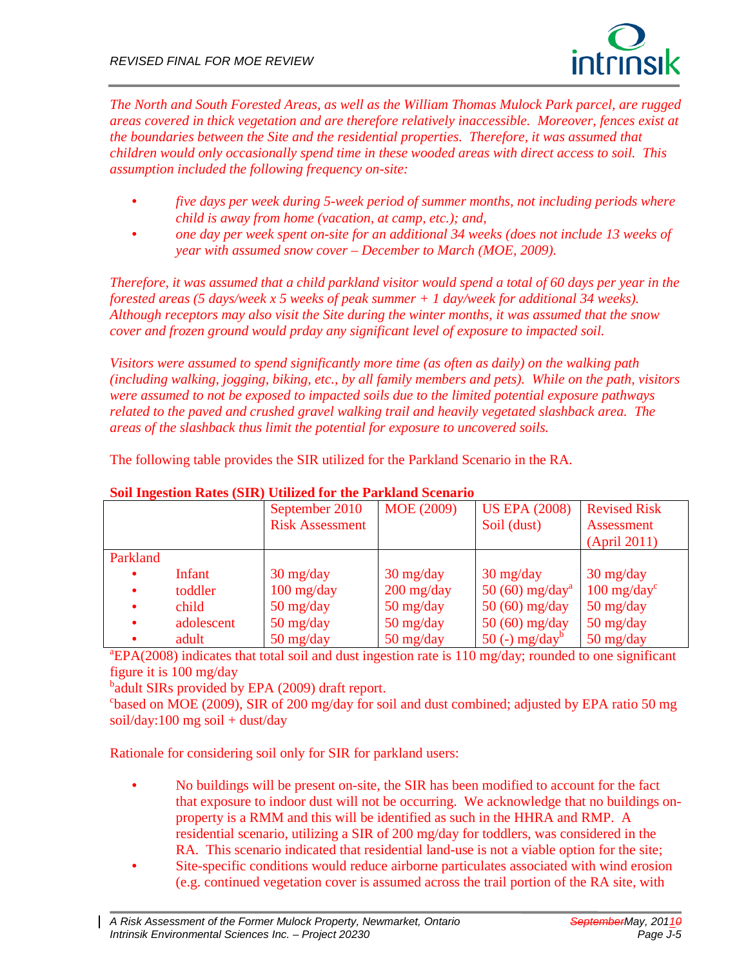

*The North and South Forested Areas, as well as the William Thomas Mulock Park parcel, are rugged areas covered in thick vegetation and are therefore relatively inaccessible. Moreover, fences exist at the boundaries between the Site and the residential properties. Therefore, it was assumed that children would only occasionally spend time in these wooded areas with direct access to soil. This assumption included the following frequency on-site:*

- *five days per week during 5-week period of summer months, not including periods where child is away from home (vacation, at camp, etc.); and,*
- *one day per week spent on-site for an additional 34 weeks (does not include 13 weeks of year with assumed snow cover – December to March (MOE, 2009).*

*Therefore, it was assumed that a child parkland visitor would spend a total of 60 days per year in the forested areas (5 days/week x 5 weeks of peak summer + 1 day/week for additional 34 weeks). Although receptors may also visit the Site during the winter months, it was assumed that the snow cover and frozen ground would prday any significant level of exposure to impacted soil.*

*Visitors were assumed to spend significantly more time (as often as daily) on the walking path (including walking, jogging, biking, etc., by all family members and pets). While on the path, visitors were assumed to not be exposed to impacted soils due to the limited potential exposure pathways related to the paved and crushed gravel walking trail and heavily vegetated slashback area. The areas of the slashback thus limit the potential for exposure to uncovered soils.*

The following table provides the SIR utilized for the Parkland Scenario in the RA.

|           |            | September 2010                     | MOE (2009)                         | <b>US EPA (2008)</b>              | <b>Revised Risk</b>               |
|-----------|------------|------------------------------------|------------------------------------|-----------------------------------|-----------------------------------|
|           |            | <b>Risk Assessment</b>             |                                    | Soil (dust)                       | <b>Assessment</b>                 |
|           |            |                                    |                                    |                                   | (April 2011)                      |
| Parkland  |            |                                    |                                    |                                   |                                   |
| $\bullet$ | Infant     | $30 \frac{\text{mg}}{\text{day}}$  | $30 \frac{\text{mg}}{\text{day}}$  | $30 \frac{\text{mg}}{\text{day}}$ | $30 \frac{\text{mg}}{\text{day}}$ |
| $\bullet$ | toddler    | $100 \frac{\text{mg}}{\text{day}}$ | $200 \frac{\text{mg}}{\text{day}}$ | 50 (60) $mg/day^a$                | $100 \text{ mg/day}^{\text{c}}$   |
| $\bullet$ | child      | $50 \frac{\text{mg}}{\text{day}}$  | $50 \frac{\text{mg}}{\text{day}}$  | $50(60)$ mg/day                   | $50 \frac{\text{mg}}{\text{day}}$ |
| $\bullet$ | adolescent | $50 \frac{\text{mg}}{\text{day}}$  | $50 \frac{\text{mg}}{\text{day}}$  | $50(60)$ mg/day                   | $50 \frac{\text{mg}}{\text{day}}$ |
| $\bullet$ | adult      | $50 \frac{\text{mg}}{\text{day}}$  | $50 \frac{\text{mg}}{\text{day}}$  | $50$ (-) mg/day <sup>b</sup>      | $50 \frac{\text{mg}}{\text{day}}$ |

#### **Soil Ingestion Rates (SIR) Utilized for the Parkland Scenario**

<sup>a</sup>EPA(2008) indicates that total soil and dust ingestion rate is 110 mg/day; rounded to one significant figure it is 100 mg/day

<sup>b</sup>adult SIRs provided by EPA (2009) draft report.

<sup>c</sup>based on MOE (2009), SIR of 200 mg/day for soil and dust combined; adjusted by EPA ratio 50 mg soil/day:100 mg soil + dust/day

Rationale for considering soil only for SIR for parkland users:

- No buildings will be present on-site, the SIR has been modified to account for the fact that exposure to indoor dust will not be occurring. We acknowledge that no buildings onproperty is a RMM and this will be identified as such in the HHRA and RMP. A residential scenario, utilizing a SIR of 200 mg/day for toddlers, was considered in the RA. This scenario indicated that residential land-use is not a viable option for the site;
- Site-specific conditions would reduce airborne particulates associated with wind erosion (e.g. continued vegetation cover is assumed across the trail portion of the RA site, with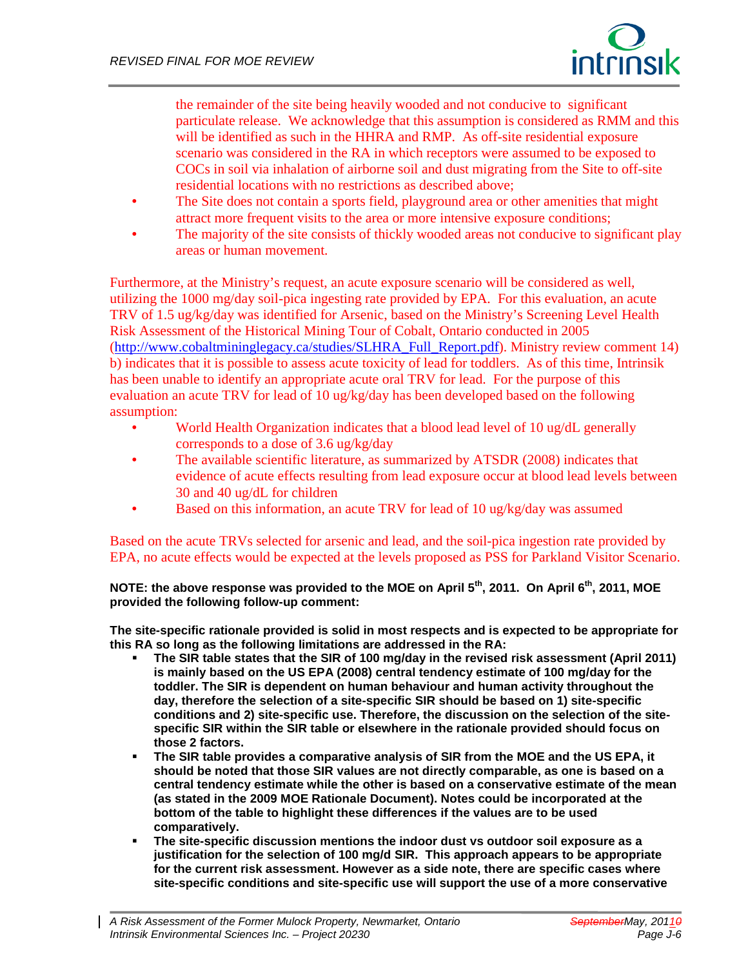

the remainder of the site being heavily wooded and not conducive to significant particulate release. We acknowledge that this assumption is considered as RMM and this will be identified as such in the HHRA and RMP. As off-site residential exposure scenario was considered in the RA in which receptors were assumed to be exposed to COCs in soil via inhalation of airborne soil and dust migrating from the Site to off-site residential locations with no restrictions as described above;

- The Site does not contain a sports field, playground area or other amenities that might attract more frequent visits to the area or more intensive exposure conditions;
- The majority of the site consists of thickly wooded areas not conducive to significant play areas or human movement.

Furthermore, at the Ministry's request, an acute exposure scenario will be considered as well, utilizing the 1000 mg/day soil-pica ingesting rate provided by EPA. For this evaluation, an acute TRV of 1.5 ug/kg/day was identified for Arsenic, based on the Ministry's Screening Level Health Risk Assessment of the Historical Mining Tour of Cobalt, Ontario conducted in 2005 [\(http://www.cobaltmininglegacy.ca/studies/SLHRA\\_Full\\_Report.pdf\)](http://www.cobaltmininglegacy.ca/studies/SLHRA_Full_Report.pdf). Ministry review comment 14) b) indicates that it is possible to assess acute toxicity of lead for toddlers. As of this time, Intrinsik has been unable to identify an appropriate acute oral TRV for lead. For the purpose of this evaluation an acute TRV for lead of 10 ug/kg/day has been developed based on the following assumption:

- World Health Organization indicates that a blood lead level of 10 ug/dL generally corresponds to a dose of 3.6 ug/kg/day
- The available scientific literature, as summarized by ATSDR (2008) indicates that evidence of acute effects resulting from lead exposure occur at blood lead levels between 30 and 40 ug/dL for children
- Based on this information, an acute TRV for lead of 10 ug/kg/day was assumed

Based on the acute TRVs selected for arsenic and lead, and the soil-pica ingestion rate provided by EPA, no acute effects would be expected at the levels proposed as PSS for Parkland Visitor Scenario.

**NOTE: the above response was provided to the MOE on April 5th, 2011. On April 6th, 2011, MOE provided the following follow-up comment:**

**The site-specific rationale provided is solid in most respects and is expected to be appropriate for this RA so long as the following limitations are addressed in the RA:** 

- **The SIR table states that the SIR of 100 mg/day in the revised risk assessment (April 2011) is mainly based on the US EPA (2008) central tendency estimate of 100 mg/day for the toddler. The SIR is dependent on human behaviour and human activity throughout the day, therefore the selection of a site-specific SIR should be based on 1) site-specific conditions and 2) site-specific use. Therefore, the discussion on the selection of the sitespecific SIR within the SIR table or elsewhere in the rationale provided should focus on those 2 factors.**
- **The SIR table provides a comparative analysis of SIR from the MOE and the US EPA, it should be noted that those SIR values are not directly comparable, as one is based on a central tendency estimate while the other is based on a conservative estimate of the mean (as stated in the 2009 MOE Rationale Document). Notes could be incorporated at the bottom of the table to highlight these differences if the values are to be used comparatively.**
- **The site-specific discussion mentions the indoor dust vs outdoor soil exposure as a justification for the selection of 100 mg/d SIR. This approach appears to be appropriate for the current risk assessment. However as a side note, there are specific cases where site-specific conditions and site-specific use will support the use of a more conservative**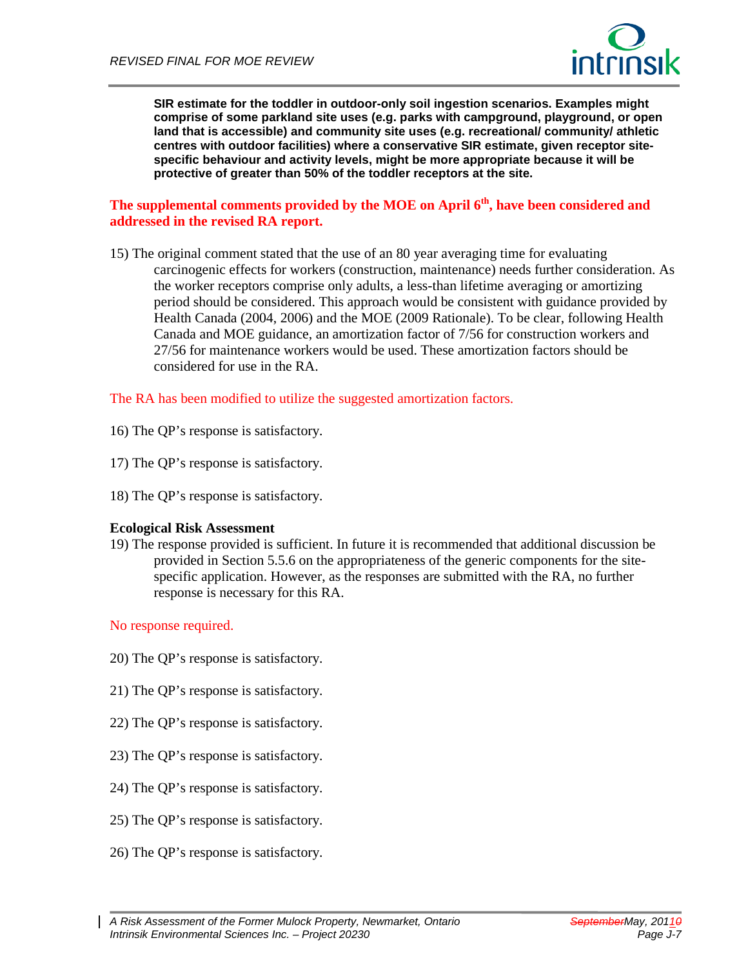

**SIR estimate for the toddler in outdoor-only soil ingestion scenarios. Examples might comprise of some parkland site uses (e.g. parks with campground, playground, or open land that is accessible) and community site uses (e.g. recreational/ community/ athletic centres with outdoor facilities) where a conservative SIR estimate, given receptor sitespecific behaviour and activity levels, might be more appropriate because it will be protective of greater than 50% of the toddler receptors at the site.**

#### **The supplemental comments provided by the MOE on April 6th, have been considered and addressed in the revised RA report.**

15) The original comment stated that the use of an 80 year averaging time for evaluating carcinogenic effects for workers (construction, maintenance) needs further consideration. As the worker receptors comprise only adults, a less-than lifetime averaging or amortizing period should be considered. This approach would be consistent with guidance provided by Health Canada (2004, 2006) and the MOE (2009 Rationale). To be clear, following Health Canada and MOE guidance, an amortization factor of 7/56 for construction workers and 27/56 for maintenance workers would be used. These amortization factors should be considered for use in the RA.

#### The RA has been modified to utilize the suggested amortization factors.

- 16) The QP's response is satisfactory.
- 17) The QP's response is satisfactory.
- 18) The QP's response is satisfactory.

#### **Ecological Risk Assessment**

19) The response provided is sufficient. In future it is recommended that additional discussion be provided in Section 5.5.6 on the appropriateness of the generic components for the sitespecific application. However, as the responses are submitted with the RA, no further response is necessary for this RA.

#### No response required.

- 20) The QP's response is satisfactory.
- 21) The QP's response is satisfactory.
- 22) The QP's response is satisfactory.
- 23) The QP's response is satisfactory.
- 24) The QP's response is satisfactory.
- 25) The QP's response is satisfactory.
- 26) The QP's response is satisfactory.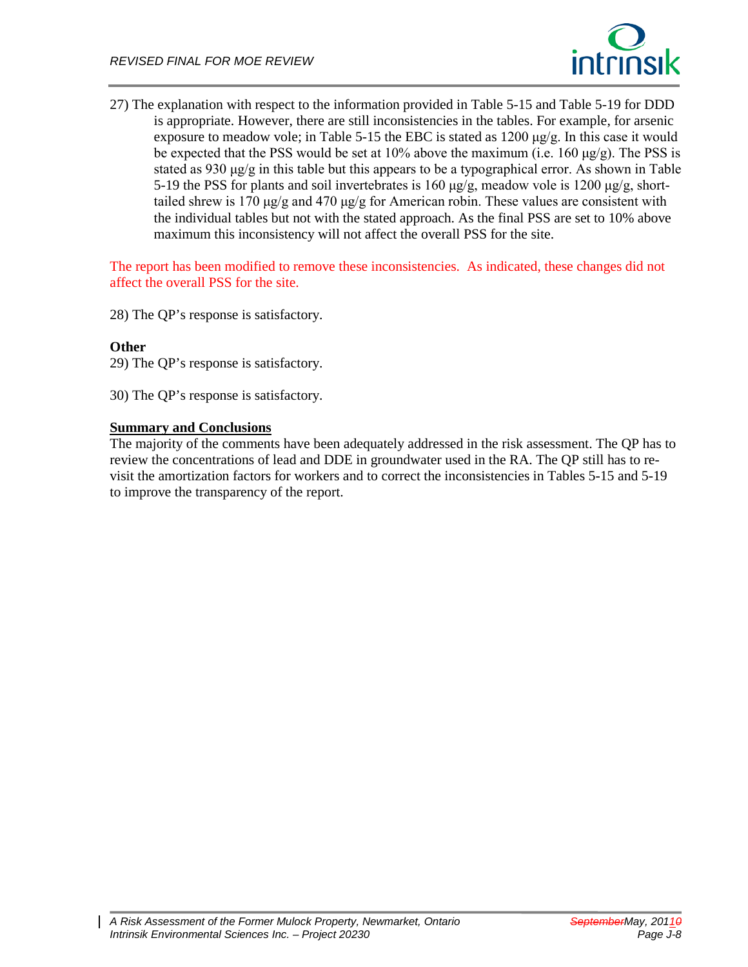

27) The explanation with respect to the information provided in Table 5-15 and Table 5-19 for DDD is appropriate. However, there are still inconsistencies in the tables. For example, for arsenic exposure to meadow vole; in Table 5-15 the EBC is stated as  $1200 \mu g/g$ . In this case it would be expected that the PSS would be set at  $10\%$  above the maximum (i.e.  $160 \mu g/g$ ). The PSS is stated as 930  $\mu$ g/g in this table but this appears to be a typographical error. As shown in Table 5-19 the PSS for plants and soil invertebrates is 160  $\mu$ g/g, meadow vole is 1200  $\mu$ g/g, shorttailed shrew is 170 μg/g and 470 μg/g for American robin. These values are consistent with the individual tables but not with the stated approach. As the final PSS are set to 10% above maximum this inconsistency will not affect the overall PSS for the site.

The report has been modified to remove these inconsistencies. As indicated, these changes did not affect the overall PSS for the site.

28) The QP's response is satisfactory.

#### **Other**

29) The QP's response is satisfactory.

30) The QP's response is satisfactory.

#### **Summary and Conclusions**

The majority of the comments have been adequately addressed in the risk assessment. The QP has to review the concentrations of lead and DDE in groundwater used in the RA. The QP still has to revisit the amortization factors for workers and to correct the inconsistencies in Tables 5-15 and 5-19 to improve the transparency of the report.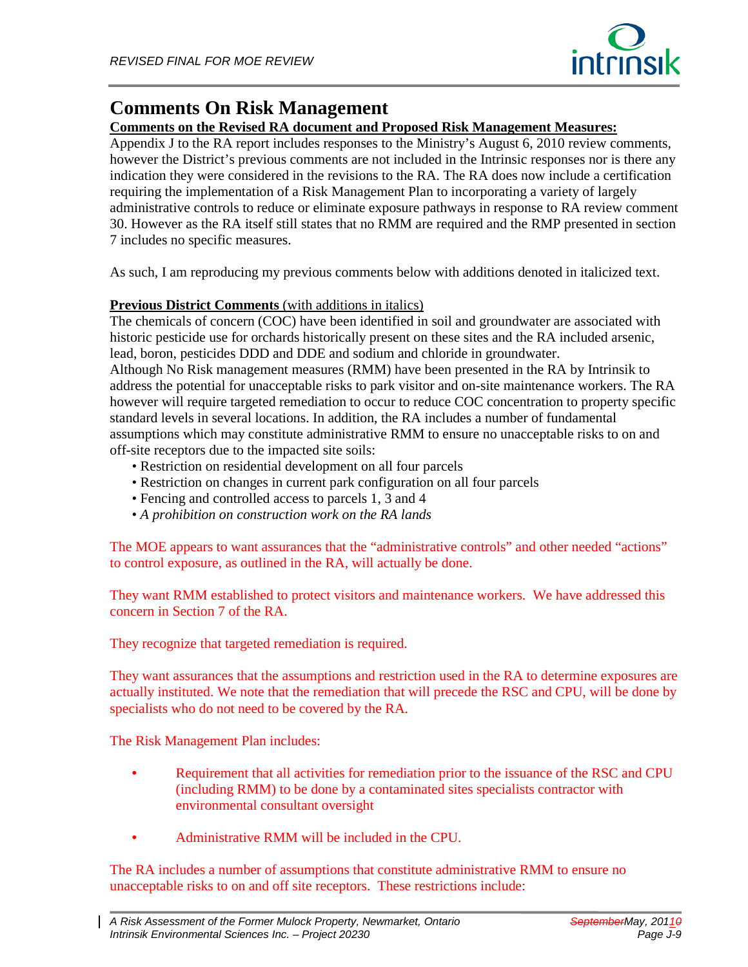

# **Comments On Risk Management**

# **Comments on the Revised RA document and Proposed Risk Management Measures:**

Appendix J to the RA report includes responses to the Ministry's August 6, 2010 review comments, however the District's previous comments are not included in the Intrinsic responses nor is there any indication they were considered in the revisions to the RA. The RA does now include a certification requiring the implementation of a Risk Management Plan to incorporating a variety of largely administrative controls to reduce or eliminate exposure pathways in response to RA review comment 30. However as the RA itself still states that no RMM are required and the RMP presented in section 7 includes no specific measures.

As such, I am reproducing my previous comments below with additions denoted in italicized text.

## **Previous District Comments** (with additions in italics)

The chemicals of concern (COC) have been identified in soil and groundwater are associated with historic pesticide use for orchards historically present on these sites and the RA included arsenic, lead, boron, pesticides DDD and DDE and sodium and chloride in groundwater.

Although No Risk management measures (RMM) have been presented in the RA by Intrinsik to address the potential for unacceptable risks to park visitor and on-site maintenance workers. The RA however will require targeted remediation to occur to reduce COC concentration to property specific standard levels in several locations. In addition, the RA includes a number of fundamental assumptions which may constitute administrative RMM to ensure no unacceptable risks to on and off-site receptors due to the impacted site soils:

- Restriction on residential development on all four parcels
- Restriction on changes in current park configuration on all four parcels
- Fencing and controlled access to parcels 1, 3 and 4
- *A prohibition on construction work on the RA lands*

The MOE appears to want assurances that the "administrative controls" and other needed "actions" to control exposure, as outlined in the RA, will actually be done.

They want RMM established to protect visitors and maintenance workers. We have addressed this concern in Section 7 of the RA.

They recognize that targeted remediation is required.

They want assurances that the assumptions and restriction used in the RA to determine exposures are actually instituted. We note that the remediation that will precede the RSC and CPU, will be done by specialists who do not need to be covered by the RA.

The Risk Management Plan includes:

- Requirement that all activities for remediation prior to the issuance of the RSC and CPU (including RMM) to be done by a contaminated sites specialists contractor with environmental consultant oversight
- Administrative RMM will be included in the CPU.

The RA includes a number of assumptions that constitute administrative RMM to ensure no unacceptable risks to on and off site receptors. These restrictions include: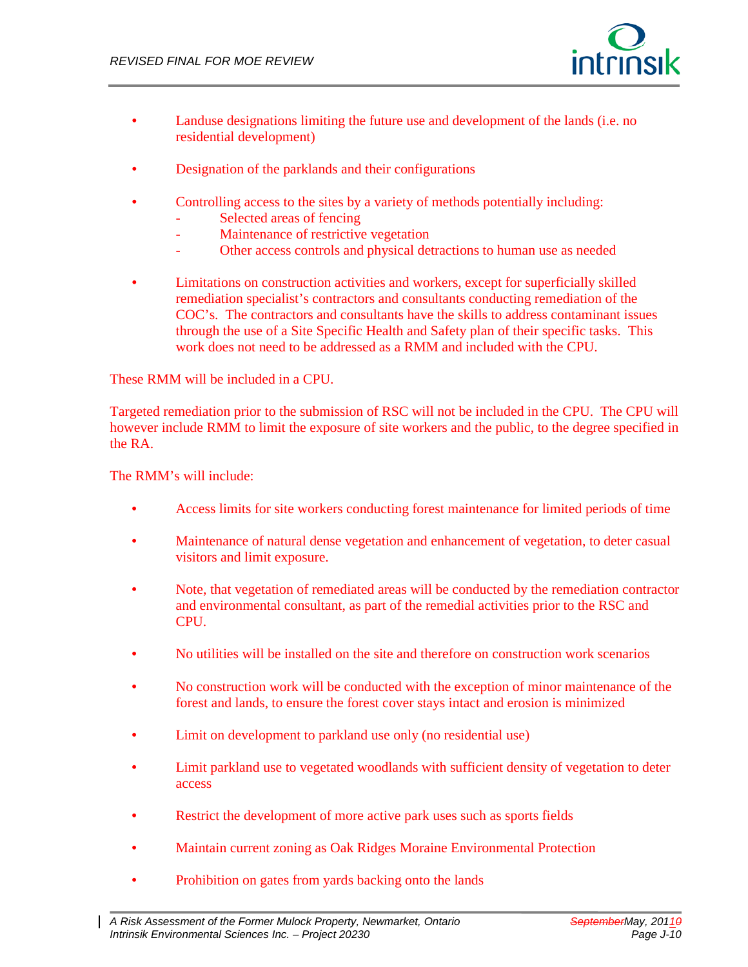

- Landuse designations limiting the future use and development of the lands (i.e. no residential development)
- Designation of the parklands and their configurations
- Controlling access to the sites by a variety of methods potentially including:
	- Selected areas of fencing
	- Maintenance of restrictive vegetation
	- Other access controls and physical detractions to human use as needed
- Limitations on construction activities and workers, except for superficially skilled remediation specialist's contractors and consultants conducting remediation of the COC's. The contractors and consultants have the skills to address contaminant issues through the use of a Site Specific Health and Safety plan of their specific tasks. This work does not need to be addressed as a RMM and included with the CPU.

These RMM will be included in a CPU.

Targeted remediation prior to the submission of RSC will not be included in the CPU. The CPU will however include RMM to limit the exposure of site workers and the public, to the degree specified in the RA.

The RMM's will include:

- Access limits for site workers conducting forest maintenance for limited periods of time
- Maintenance of natural dense vegetation and enhancement of vegetation, to deter casual visitors and limit exposure.
- Note, that vegetation of remediated areas will be conducted by the remediation contractor and environmental consultant, as part of the remedial activities prior to the RSC and CPU.
- No utilities will be installed on the site and therefore on construction work scenarios
- No construction work will be conducted with the exception of minor maintenance of the forest and lands, to ensure the forest cover stays intact and erosion is minimized
- Limit on development to parkland use only (no residential use)
- Limit parkland use to vegetated woodlands with sufficient density of vegetation to deter access
- Restrict the development of more active park uses such as sports fields
- Maintain current zoning as Oak Ridges Moraine Environmental Protection
- Prohibition on gates from yards backing onto the lands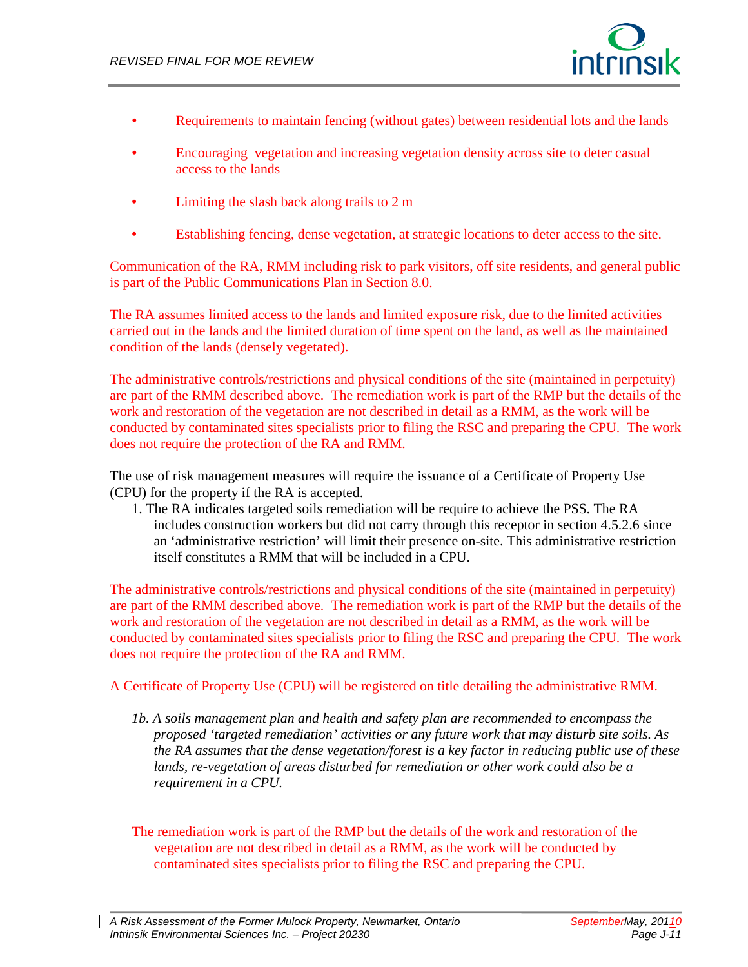

- Requirements to maintain fencing (without gates) between residential lots and the lands
- Encouraging vegetation and increasing vegetation density across site to deter casual access to the lands
- Limiting the slash back along trails to 2 m
- Establishing fencing, dense vegetation, at strategic locations to deter access to the site.

Communication of the RA, RMM including risk to park visitors, off site residents, and general public is part of the Public Communications Plan in Section 8.0.

The RA assumes limited access to the lands and limited exposure risk, due to the limited activities carried out in the lands and the limited duration of time spent on the land, as well as the maintained condition of the lands (densely vegetated).

The administrative controls/restrictions and physical conditions of the site (maintained in perpetuity) are part of the RMM described above. The remediation work is part of the RMP but the details of the work and restoration of the vegetation are not described in detail as a RMM, as the work will be conducted by contaminated sites specialists prior to filing the RSC and preparing the CPU. The work does not require the protection of the RA and RMM.

The use of risk management measures will require the issuance of a Certificate of Property Use (CPU) for the property if the RA is accepted.

1. The RA indicates targeted soils remediation will be require to achieve the PSS. The RA includes construction workers but did not carry through this receptor in section 4.5.2.6 since an 'administrative restriction' will limit their presence on-site. This administrative restriction itself constitutes a RMM that will be included in a CPU.

The administrative controls/restrictions and physical conditions of the site (maintained in perpetuity) are part of the RMM described above. The remediation work is part of the RMP but the details of the work and restoration of the vegetation are not described in detail as a RMM, as the work will be conducted by contaminated sites specialists prior to filing the RSC and preparing the CPU. The work does not require the protection of the RA and RMM.

A Certificate of Property Use (CPU) will be registered on title detailing the administrative RMM.

*1b. A soils management plan and health and safety plan are recommended to encompass the proposed 'targeted remediation' activities or any future work that may disturb site soils. As the RA assumes that the dense vegetation/forest is a key factor in reducing public use of these lands, re-vegetation of areas disturbed for remediation or other work could also be a requirement in a CPU.*

The remediation work is part of the RMP but the details of the work and restoration of the vegetation are not described in detail as a RMM, as the work will be conducted by contaminated sites specialists prior to filing the RSC and preparing the CPU.

*A Risk Assessment of the Former Mulock Property, Newmarket, Ontario SeptemberMay, 20110 Intrinsik Environmental Sciences Inc. – Project 20230 Page J-11*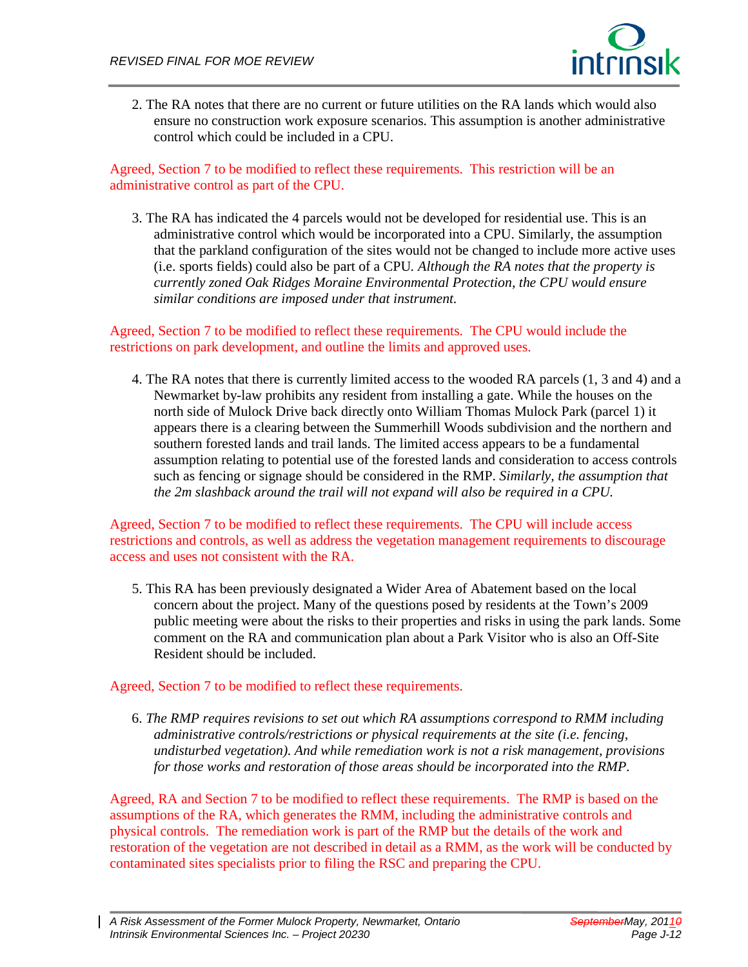

2. The RA notes that there are no current or future utilities on the RA lands which would also ensure no construction work exposure scenarios. This assumption is another administrative control which could be included in a CPU.

Agreed, Section 7 to be modified to reflect these requirements. This restriction will be an administrative control as part of the CPU.

3. The RA has indicated the 4 parcels would not be developed for residential use. This is an administrative control which would be incorporated into a CPU. Similarly, the assumption that the parkland configuration of the sites would not be changed to include more active uses (i.e. sports fields) could also be part of a CPU*. Although the RA notes that the property is currently zoned Oak Ridges Moraine Environmental Protection, the CPU would ensure similar conditions are imposed under that instrument.* 

Agreed, Section 7 to be modified to reflect these requirements. The CPU would include the restrictions on park development, and outline the limits and approved uses.

4. The RA notes that there is currently limited access to the wooded RA parcels (1, 3 and 4) and a Newmarket by-law prohibits any resident from installing a gate. While the houses on the north side of Mulock Drive back directly onto William Thomas Mulock Park (parcel 1) it appears there is a clearing between the Summerhill Woods subdivision and the northern and southern forested lands and trail lands. The limited access appears to be a fundamental assumption relating to potential use of the forested lands and consideration to access controls such as fencing or signage should be considered in the RMP. *Similarly, the assumption that the 2m slashback around the trail will not expand will also be required in a CPU.* 

Agreed, Section 7 to be modified to reflect these requirements. The CPU will include access restrictions and controls, as well as address the vegetation management requirements to discourage access and uses not consistent with the RA.

5. This RA has been previously designated a Wider Area of Abatement based on the local concern about the project. Many of the questions posed by residents at the Town's 2009 public meeting were about the risks to their properties and risks in using the park lands. Some comment on the RA and communication plan about a Park Visitor who is also an Off-Site Resident should be included.

#### Agreed, Section 7 to be modified to reflect these requirements.

6. *The RMP requires revisions to set out which RA assumptions correspond to RMM including administrative controls/restrictions or physical requirements at the site (i.e. fencing, undisturbed vegetation). And while remediation work is not a risk management, provisions for those works and restoration of those areas should be incorporated into the RMP.* 

Agreed, RA and Section 7 to be modified to reflect these requirements. The RMP is based on the assumptions of the RA, which generates the RMM, including the administrative controls and physical controls. The remediation work is part of the RMP but the details of the work and restoration of the vegetation are not described in detail as a RMM, as the work will be conducted by contaminated sites specialists prior to filing the RSC and preparing the CPU.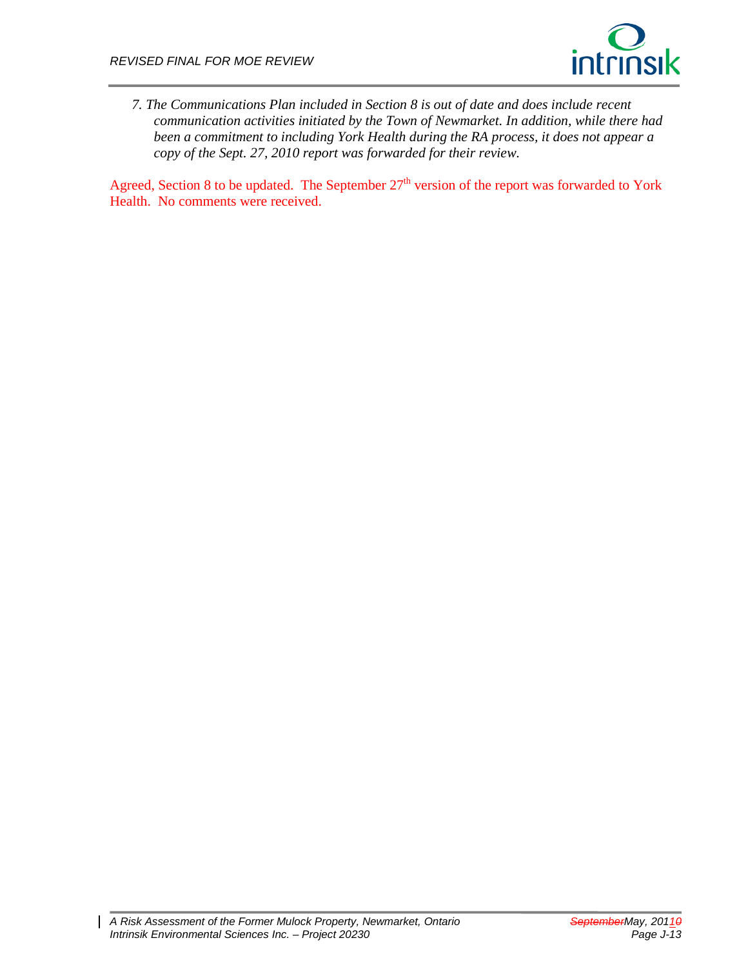

*7. The Communications Plan included in Section 8 is out of date and does include recent communication activities initiated by the Town of Newmarket. In addition, while there had been a commitment to including York Health during the RA process, it does not appear a copy of the Sept. 27, 2010 report was forwarded for their review.* 

Agreed, Section 8 to be updated. The September  $27<sup>th</sup>$  version of the report was forwarded to York Health. No comments were received.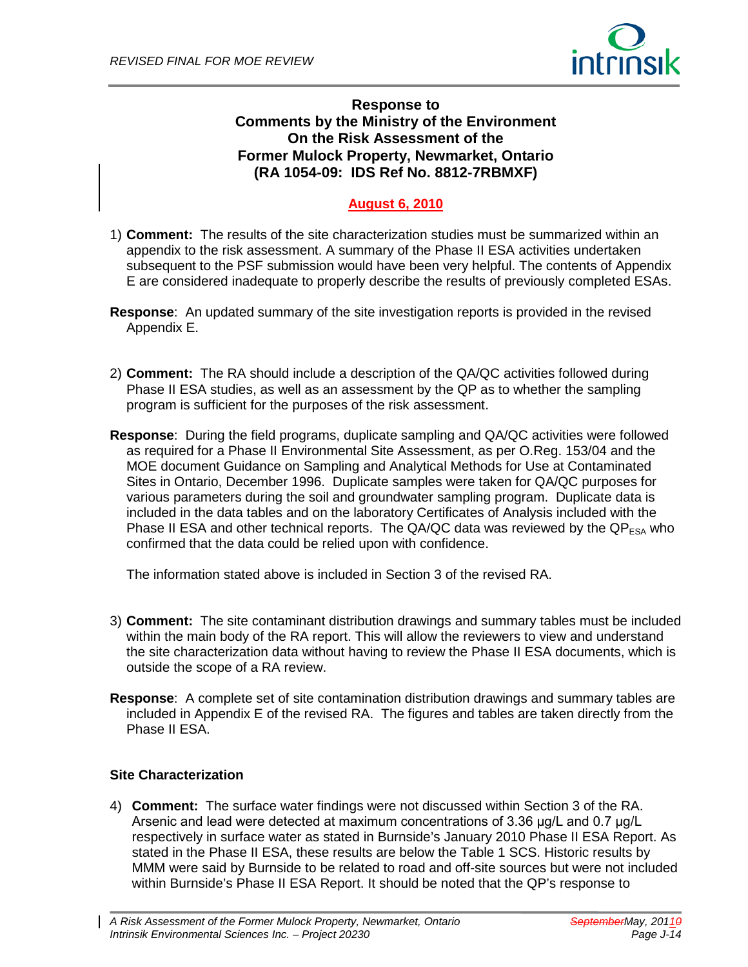

## **Response to Comments by the Ministry of the Environment On the Risk Assessment of the Former Mulock Property, Newmarket, Ontario (RA 1054-09: IDS Ref No. 8812-7RBMXF)**

# **August 6, 2010**

- 1) **Comment:** The results of the site characterization studies must be summarized within an appendix to the risk assessment. A summary of the Phase II ESA activities undertaken subsequent to the PSF submission would have been very helpful. The contents of Appendix E are considered inadequate to properly describe the results of previously completed ESAs.
- **Response**: An updated summary of the site investigation reports is provided in the revised Appendix E.
- 2) **Comment:** The RA should include a description of the QA/QC activities followed during Phase II ESA studies, as well as an assessment by the QP as to whether the sampling program is sufficient for the purposes of the risk assessment.
- **Response**: During the field programs, duplicate sampling and QA/QC activities were followed as required for a Phase II Environmental Site Assessment, as per O.Reg. 153/04 and the MOE document Guidance on Sampling and Analytical Methods for Use at Contaminated Sites in Ontario, December 1996. Duplicate samples were taken for QA/QC purposes for various parameters during the soil and groundwater sampling program. Duplicate data is included in the data tables and on the laboratory Certificates of Analysis included with the Phase II ESA and other technical reports. The QA/QC data was reviewed by the  $QP_{ESA}$  who confirmed that the data could be relied upon with confidence.

The information stated above is included in Section 3 of the revised RA.

- 3) **Comment:** The site contaminant distribution drawings and summary tables must be included within the main body of the RA report. This will allow the reviewers to view and understand the site characterization data without having to review the Phase II ESA documents, which is outside the scope of a RA review.
- **Response**: A complete set of site contamination distribution drawings and summary tables are included in Appendix E of the revised RA. The figures and tables are taken directly from the Phase II ESA.

#### **Site Characterization**

4) **Comment:** The surface water findings were not discussed within Section 3 of the RA. Arsenic and lead were detected at maximum concentrations of 3.36 μg/L and 0.7 μg/L respectively in surface water as stated in Burnside's January 2010 Phase II ESA Report. As stated in the Phase II ESA, these results are below the Table 1 SCS. Historic results by MMM were said by Burnside to be related to road and off-site sources but were not included within Burnside's Phase II ESA Report. It should be noted that the QP's response to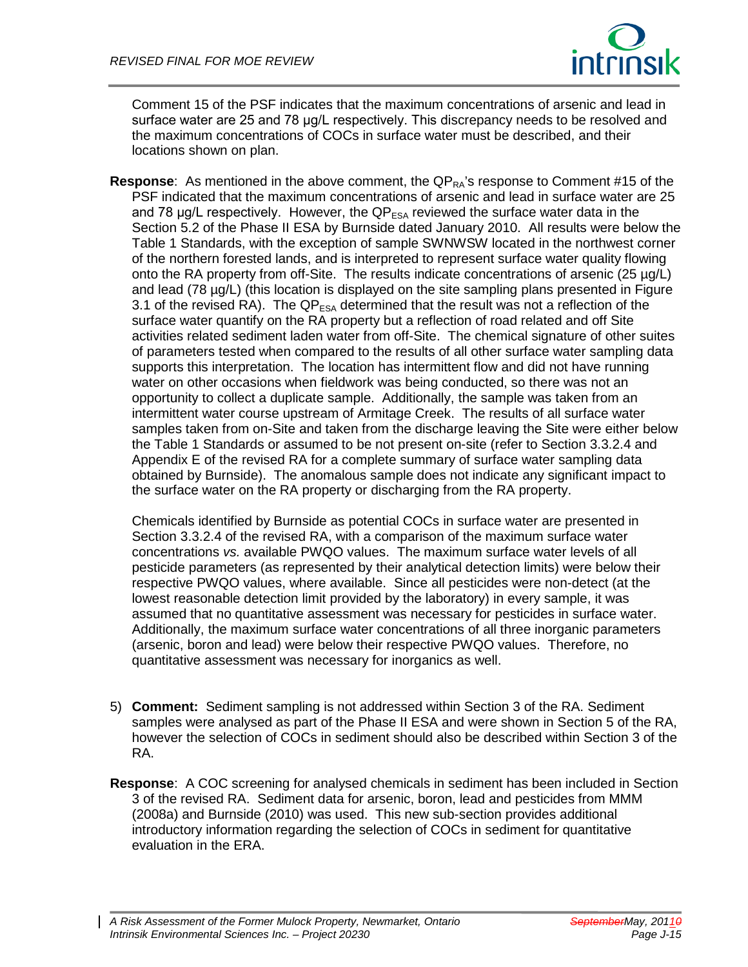

Comment 15 of the PSF indicates that the maximum concentrations of arsenic and lead in surface water are 25 and 78 μg/L respectively. This discrepancy needs to be resolved and the maximum concentrations of COCs in surface water must be described, and their locations shown on plan.

**Response**: As mentioned in the above comment, the QP<sub>RA</sub>'s response to Comment #15 of the PSF indicated that the maximum concentrations of arsenic and lead in surface water are 25 and 78  $\mu$ g/L respectively. However, the QP $_{ESA}$  reviewed the surface water data in the Section 5.2 of the Phase II ESA by Burnside dated January 2010. All results were below the Table 1 Standards, with the exception of sample SWNWSW located in the northwest corner of the northern forested lands, and is interpreted to represent surface water quality flowing onto the RA property from off-Site. The results indicate concentrations of arsenic (25 µg/L) and lead (78 µg/L) (this location is displayed on the site sampling plans presented in Figure 3.1 of the revised RA). The  $QP_{FSA}$  determined that the result was not a reflection of the surface water quantify on the RA property but a reflection of road related and off Site activities related sediment laden water from off-Site. The chemical signature of other suites of parameters tested when compared to the results of all other surface water sampling data supports this interpretation. The location has intermittent flow and did not have running water on other occasions when fieldwork was being conducted, so there was not an opportunity to collect a duplicate sample. Additionally, the sample was taken from an intermittent water course upstream of Armitage Creek. The results of all surface water samples taken from on-Site and taken from the discharge leaving the Site were either below the Table 1 Standards or assumed to be not present on-site (refer to Section 3.3.2.4 and Appendix E of the revised RA for a complete summary of surface water sampling data obtained by Burnside). The anomalous sample does not indicate any significant impact to the surface water on the RA property or discharging from the RA property.

Chemicals identified by Burnside as potential COCs in surface water are presented in Section 3.3.2.4 of the revised RA, with a comparison of the maximum surface water concentrations *vs.* available PWQO values. The maximum surface water levels of all pesticide parameters (as represented by their analytical detection limits) were below their respective PWQO values, where available. Since all pesticides were non-detect (at the lowest reasonable detection limit provided by the laboratory) in every sample, it was assumed that no quantitative assessment was necessary for pesticides in surface water. Additionally, the maximum surface water concentrations of all three inorganic parameters (arsenic, boron and lead) were below their respective PWQO values. Therefore, no quantitative assessment was necessary for inorganics as well.

- 5) **Comment:** Sediment sampling is not addressed within Section 3 of the RA. Sediment samples were analysed as part of the Phase II ESA and were shown in Section 5 of the RA, however the selection of COCs in sediment should also be described within Section 3 of the RA.
- **Response**: A COC screening for analysed chemicals in sediment has been included in Section 3 of the revised RA. Sediment data for arsenic, boron, lead and pesticides from MMM (2008a) and Burnside (2010) was used. This new sub-section provides additional introductory information regarding the selection of COCs in sediment for quantitative evaluation in the ERA.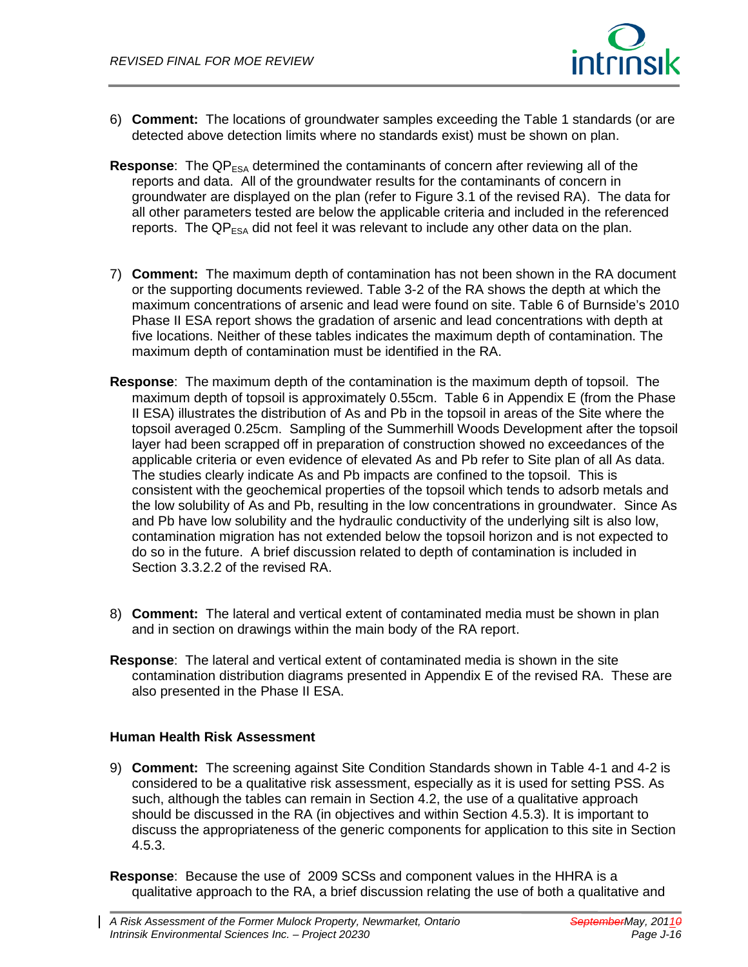

- 6) **Comment:** The locations of groundwater samples exceeding the Table 1 standards (or are detected above detection limits where no standards exist) must be shown on plan.
- **Response**: The QP<sub>ESA</sub> determined the contaminants of concern after reviewing all of the reports and data. All of the groundwater results for the contaminants of concern in groundwater are displayed on the plan (refer to Figure 3.1 of the revised RA). The data for all other parameters tested are below the applicable criteria and included in the referenced reports. The  $QP_{\text{ESA}}$  did not feel it was relevant to include any other data on the plan.
- 7) **Comment:** The maximum depth of contamination has not been shown in the RA document or the supporting documents reviewed. Table 3-2 of the RA shows the depth at which the maximum concentrations of arsenic and lead were found on site. Table 6 of Burnside's 2010 Phase II ESA report shows the gradation of arsenic and lead concentrations with depth at five locations. Neither of these tables indicates the maximum depth of contamination. The maximum depth of contamination must be identified in the RA.
- **Response**: The maximum depth of the contamination is the maximum depth of topsoil. The maximum depth of topsoil is approximately 0.55cm. Table 6 in Appendix E (from the Phase II ESA) illustrates the distribution of As and Pb in the topsoil in areas of the Site where the topsoil averaged 0.25cm. Sampling of the Summerhill Woods Development after the topsoil layer had been scrapped off in preparation of construction showed no exceedances of the applicable criteria or even evidence of elevated As and Pb refer to Site plan of all As data. The studies clearly indicate As and Pb impacts are confined to the topsoil. This is consistent with the geochemical properties of the topsoil which tends to adsorb metals and the low solubility of As and Pb, resulting in the low concentrations in groundwater. Since As and Pb have low solubility and the hydraulic conductivity of the underlying silt is also low, contamination migration has not extended below the topsoil horizon and is not expected to do so in the future. A brief discussion related to depth of contamination is included in Section 3.3.2.2 of the revised RA.
- 8) **Comment:** The lateral and vertical extent of contaminated media must be shown in plan and in section on drawings within the main body of the RA report.
- **Response**: The lateral and vertical extent of contaminated media is shown in the site contamination distribution diagrams presented in Appendix E of the revised RA. These are also presented in the Phase II ESA.

#### **Human Health Risk Assessment**

- 9) **Comment:** The screening against Site Condition Standards shown in Table 4-1 and 4-2 is considered to be a qualitative risk assessment, especially as it is used for setting PSS. As such, although the tables can remain in Section 4.2, the use of a qualitative approach should be discussed in the RA (in objectives and within Section 4.5.3). It is important to discuss the appropriateness of the generic components for application to this site in Section 4.5.3.
- **Response**: Because the use of 2009 SCSs and component values in the HHRA is a qualitative approach to the RA, a brief discussion relating the use of both a qualitative and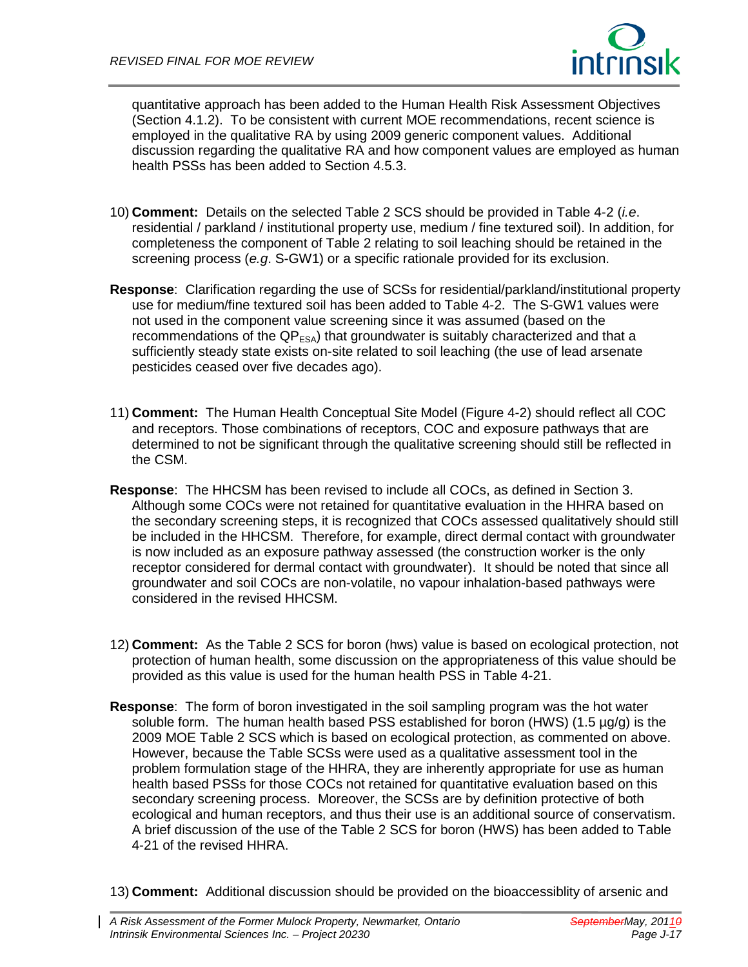

quantitative approach has been added to the Human Health Risk Assessment Objectives (Section 4.1.2). To be consistent with current MOE recommendations, recent science is employed in the qualitative RA by using 2009 generic component values. Additional discussion regarding the qualitative RA and how component values are employed as human health PSSs has been added to Section 4.5.3.

- 10) **Comment:** Details on the selected Table 2 SCS should be provided in Table 4-2 (*i.e*. residential / parkland / institutional property use, medium / fine textured soil). In addition, for completeness the component of Table 2 relating to soil leaching should be retained in the screening process (*e.g*. S-GW1) or a specific rationale provided for its exclusion.
- **Response**: Clarification regarding the use of SCSs for residential/parkland/institutional property use for medium/fine textured soil has been added to Table 4-2. The S-GW1 values were not used in the component value screening since it was assumed (based on the recommendations of the  $QP_{ESA}$ ) that groundwater is suitably characterized and that a sufficiently steady state exists on-site related to soil leaching (the use of lead arsenate pesticides ceased over five decades ago).
- 11) **Comment:** The Human Health Conceptual Site Model (Figure 4-2) should reflect all COC and receptors. Those combinations of receptors, COC and exposure pathways that are determined to not be significant through the qualitative screening should still be reflected in the CSM.
- **Response**: The HHCSM has been revised to include all COCs, as defined in Section 3. Although some COCs were not retained for quantitative evaluation in the HHRA based on the secondary screening steps, it is recognized that COCs assessed qualitatively should still be included in the HHCSM. Therefore, for example, direct dermal contact with groundwater is now included as an exposure pathway assessed (the construction worker is the only receptor considered for dermal contact with groundwater). It should be noted that since all groundwater and soil COCs are non-volatile, no vapour inhalation-based pathways were considered in the revised HHCSM.
- 12) **Comment:** As the Table 2 SCS for boron (hws) value is based on ecological protection, not protection of human health, some discussion on the appropriateness of this value should be provided as this value is used for the human health PSS in Table 4-21.
- **Response**: The form of boron investigated in the soil sampling program was the hot water soluble form. The human health based PSS established for boron (HWS) (1.5 µg/g) is the 2009 MOE Table 2 SCS which is based on ecological protection, as commented on above. However, because the Table SCSs were used as a qualitative assessment tool in the problem formulation stage of the HHRA, they are inherently appropriate for use as human health based PSSs for those COCs not retained for quantitative evaluation based on this secondary screening process. Moreover, the SCSs are by definition protective of both ecological and human receptors, and thus their use is an additional source of conservatism. A brief discussion of the use of the Table 2 SCS for boron (HWS) has been added to Table 4-21 of the revised HHRA.
- 13) **Comment:** Additional discussion should be provided on the bioaccessiblity of arsenic and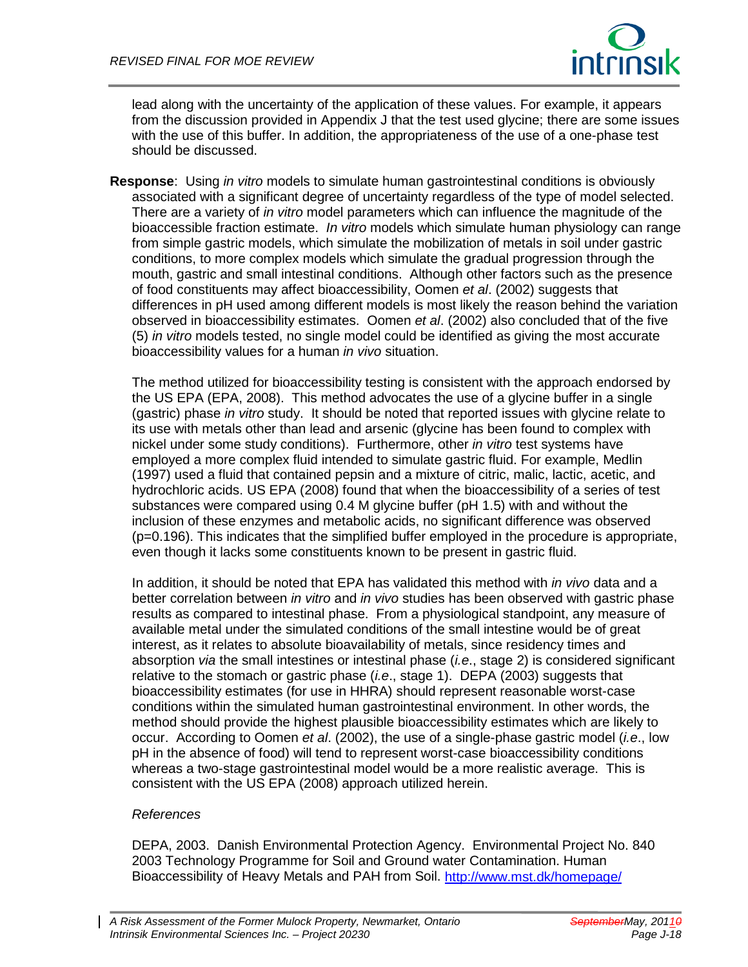

lead along with the uncertainty of the application of these values. For example, it appears from the discussion provided in Appendix J that the test used glycine; there are some issues with the use of this buffer. In addition, the appropriateness of the use of a one-phase test should be discussed.

**Response**: Using *in vitro* models to simulate human gastrointestinal conditions is obviously associated with a significant degree of uncertainty regardless of the type of model selected. There are a variety of *in vitro* model parameters which can influence the magnitude of the bioaccessible fraction estimate. *In vitro* models which simulate human physiology can range from simple gastric models, which simulate the mobilization of metals in soil under gastric conditions, to more complex models which simulate the gradual progression through the mouth, gastric and small intestinal conditions. Although other factors such as the presence of food constituents may affect bioaccessibility, Oomen *et al*. (2002) suggests that differences in pH used among different models is most likely the reason behind the variation observed in bioaccessibility estimates. Oomen *et al*. (2002) also concluded that of the five (5) *in vitro* models tested, no single model could be identified as giving the most accurate bioaccessibility values for a human *in vivo* situation.

The method utilized for bioaccessibility testing is consistent with the approach endorsed by the US EPA (EPA, 2008). This method advocates the use of a glycine buffer in a single (gastric) phase *in vitro* study. It should be noted that reported issues with glycine relate to its use with metals other than lead and arsenic (glycine has been found to complex with nickel under some study conditions). Furthermore, other *in vitro* test systems have employed a more complex fluid intended to simulate gastric fluid. For example, Medlin (1997) used a fluid that contained pepsin and a mixture of citric, malic, lactic, acetic, and hydrochloric acids. US EPA (2008) found that when the bioaccessibility of a series of test substances were compared using 0.4 M glycine buffer (pH 1.5) with and without the inclusion of these enzymes and metabolic acids, no significant difference was observed (p=0.196). This indicates that the simplified buffer employed in the procedure is appropriate, even though it lacks some constituents known to be present in gastric fluid.

In addition, it should be noted that EPA has validated this method with *in vivo* data and a better correlation between *in vitro* and *in vivo* studies has been observed with gastric phase results as compared to intestinal phase. From a physiological standpoint, any measure of available metal under the simulated conditions of the small intestine would be of great interest, as it relates to absolute bioavailability of metals, since residency times and absorption *via* the small intestines or intestinal phase (*i.e*., stage 2) is considered significant relative to the stomach or gastric phase (*i.e*., stage 1). DEPA (2003) suggests that bioaccessibility estimates (for use in HHRA) should represent reasonable worst-case conditions within the simulated human gastrointestinal environment. In other words, the method should provide the highest plausible bioaccessibility estimates which are likely to occur. According to Oomen *et al*. (2002), the use of a single-phase gastric model (*i.e*., low pH in the absence of food) will tend to represent worst-case bioaccessibility conditions whereas a two-stage gastrointestinal model would be a more realistic average. This is consistent with the US EPA (2008) approach utilized herein.

#### *References*

DEPA, 2003. Danish Environmental Protection Agency. Environmental Project No. 840 2003 Technology Programme for Soil and Ground water Contamination. Human Bioaccessibility of Heavy Metals and PAH from Soil.<http://www.mst.dk/homepage/>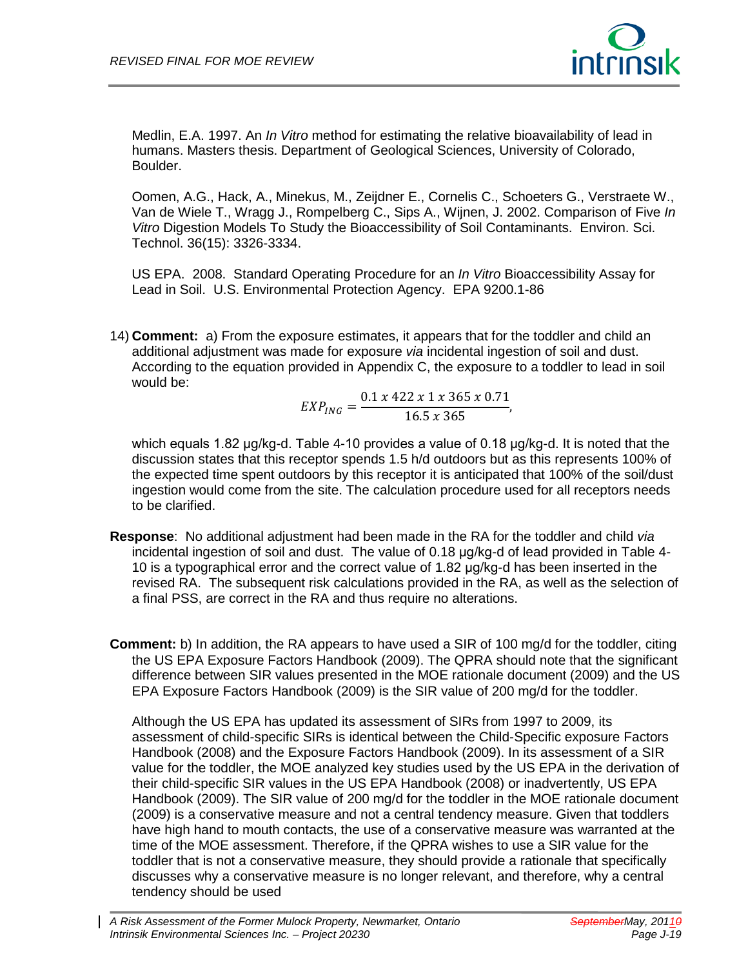

Medlin, E.A. 1997. An *In Vitro* method for estimating the relative bioavailability of lead in humans. Masters thesis. Department of Geological Sciences, University of Colorado, Boulder.

Oomen, A.G., Hack, A., Minekus, M., Zeijdner E., Cornelis C., Schoeters G., Verstraete W., Van de Wiele T., Wragg J., Rompelberg C., Sips A., Wijnen, J. 2002. Comparison of Five *In Vitro* Digestion Models To Study the Bioaccessibility of Soil Contaminants. Environ. Sci. Technol. 36(15): 3326-3334.

US EPA. 2008. Standard Operating Procedure for an *In Vitro* Bioaccessibility Assay for Lead in Soil. U.S. Environmental Protection Agency. EPA 9200.1-86

14) **Comment:** a) From the exposure estimates, it appears that for the toddler and child an additional adjustment was made for exposure *via* incidental ingestion of soil and dust. According to the equation provided in Appendix C, the exposure to a toddler to lead in soil would be:

$$
EXP_{ING} = \frac{0.1 \times 422 \times 1 \times 365 \times 0.71}{16.5 \times 365},
$$

which equals 1.82 μg/kg-d. Table 4-10 provides a value of 0.18 μg/kg-d. It is noted that the discussion states that this receptor spends 1.5 h/d outdoors but as this represents 100% of the expected time spent outdoors by this receptor it is anticipated that 100% of the soil/dust ingestion would come from the site. The calculation procedure used for all receptors needs to be clarified.

- **Response**: No additional adjustment had been made in the RA for the toddler and child *via* incidental ingestion of soil and dust. The value of 0.18 μg/kg-d of lead provided in Table 4- 10 is a typographical error and the correct value of 1.82 μg/kg-d has been inserted in the revised RA. The subsequent risk calculations provided in the RA, as well as the selection of a final PSS, are correct in the RA and thus require no alterations.
- **Comment:** b) In addition, the RA appears to have used a SIR of 100 mg/d for the toddler, citing the US EPA Exposure Factors Handbook (2009). The QPRA should note that the significant difference between SIR values presented in the MOE rationale document (2009) and the US EPA Exposure Factors Handbook (2009) is the SIR value of 200 mg/d for the toddler.

Although the US EPA has updated its assessment of SIRs from 1997 to 2009, its assessment of child-specific SIRs is identical between the Child-Specific exposure Factors Handbook (2008) and the Exposure Factors Handbook (2009). In its assessment of a SIR value for the toddler, the MOE analyzed key studies used by the US EPA in the derivation of their child-specific SIR values in the US EPA Handbook (2008) or inadvertently, US EPA Handbook (2009). The SIR value of 200 mg/d for the toddler in the MOE rationale document (2009) is a conservative measure and not a central tendency measure. Given that toddlers have high hand to mouth contacts, the use of a conservative measure was warranted at the time of the MOE assessment. Therefore, if the QPRA wishes to use a SIR value for the toddler that is not a conservative measure, they should provide a rationale that specifically discusses why a conservative measure is no longer relevant, and therefore, why a central tendency should be used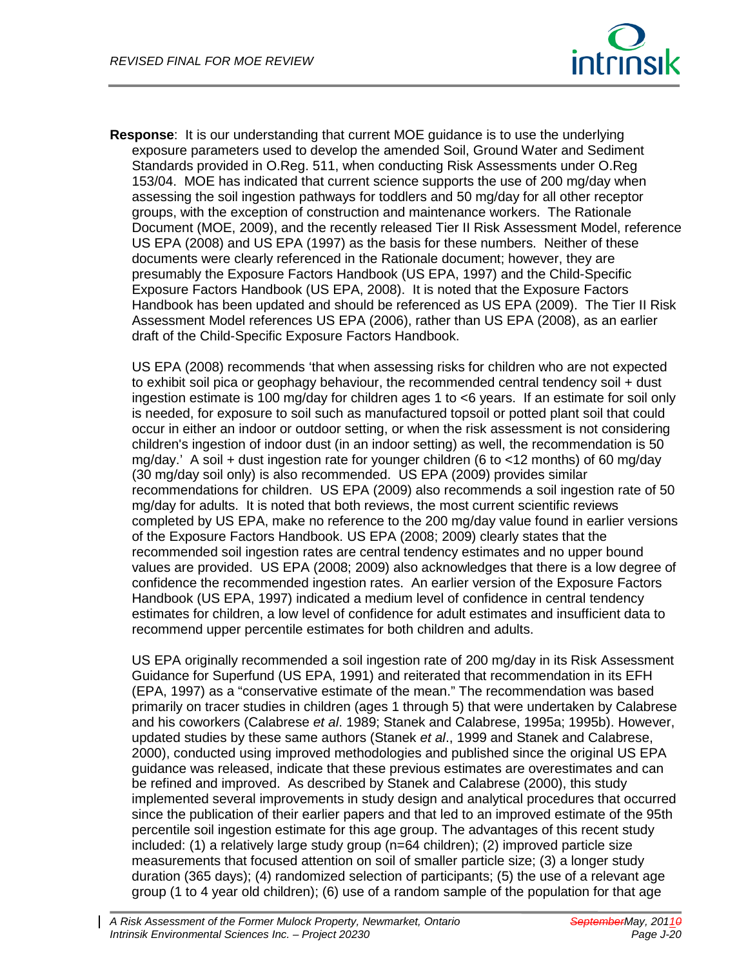

**Response**: It is our understanding that current MOE guidance is to use the underlying exposure parameters used to develop the amended Soil, Ground Water and Sediment Standards provided in O.Reg. 511, when conducting Risk Assessments under O.Reg 153/04. MOE has indicated that current science supports the use of 200 mg/day when assessing the soil ingestion pathways for toddlers and 50 mg/day for all other receptor groups, with the exception of construction and maintenance workers. The Rationale Document (MOE, 2009), and the recently released Tier II Risk Assessment Model, reference US EPA (2008) and US EPA (1997) as the basis for these numbers. Neither of these documents were clearly referenced in the Rationale document; however, they are presumably the Exposure Factors Handbook (US EPA, 1997) and the Child-Specific Exposure Factors Handbook (US EPA, 2008). It is noted that the Exposure Factors Handbook has been updated and should be referenced as US EPA (2009). The Tier II Risk Assessment Model references US EPA (2006), rather than US EPA (2008), as an earlier draft of the Child-Specific Exposure Factors Handbook.

US EPA (2008) recommends 'that when assessing risks for children who are not expected to exhibit soil pica or geophagy behaviour, the recommended central tendency soil + dust ingestion estimate is 100 mg/day for children ages 1 to <6 years. If an estimate for soil only is needed, for exposure to soil such as manufactured topsoil or potted plant soil that could occur in either an indoor or outdoor setting, or when the risk assessment is not considering children's ingestion of indoor dust (in an indoor setting) as well, the recommendation is 50 mg/day.' A soil + dust ingestion rate for younger children (6 to <12 months) of 60 mg/day (30 mg/day soil only) is also recommended. US EPA (2009) provides similar recommendations for children. US EPA (2009) also recommends a soil ingestion rate of 50 mg/day for adults. It is noted that both reviews, the most current scientific reviews completed by US EPA, make no reference to the 200 mg/day value found in earlier versions of the Exposure Factors Handbook. US EPA (2008; 2009) clearly states that the recommended soil ingestion rates are central tendency estimates and no upper bound values are provided. US EPA (2008; 2009) also acknowledges that there is a low degree of confidence the recommended ingestion rates. An earlier version of the Exposure Factors Handbook (US EPA, 1997) indicated a medium level of confidence in central tendency estimates for children, a low level of confidence for adult estimates and insufficient data to recommend upper percentile estimates for both children and adults.

US EPA originally recommended a soil ingestion rate of 200 mg/day in its Risk Assessment Guidance for Superfund (US EPA, 1991) and reiterated that recommendation in its EFH (EPA, 1997) as a "conservative estimate of the mean." The recommendation was based primarily on tracer studies in children (ages 1 through 5) that were undertaken by Calabrese and his coworkers (Calabrese *et al*. 1989; Stanek and Calabrese, 1995a; 1995b). However, updated studies by these same authors (Stanek *et al*., 1999 and Stanek and Calabrese, 2000), conducted using improved methodologies and published since the original US EPA guidance was released, indicate that these previous estimates are overestimates and can be refined and improved. As described by Stanek and Calabrese (2000), this study implemented several improvements in study design and analytical procedures that occurred since the publication of their earlier papers and that led to an improved estimate of the 95th percentile soil ingestion estimate for this age group. The advantages of this recent study included: (1) a relatively large study group (n=64 children); (2) improved particle size measurements that focused attention on soil of smaller particle size; (3) a longer study duration (365 days); (4) randomized selection of participants; (5) the use of a relevant age group (1 to 4 year old children); (6) use of a random sample of the population for that age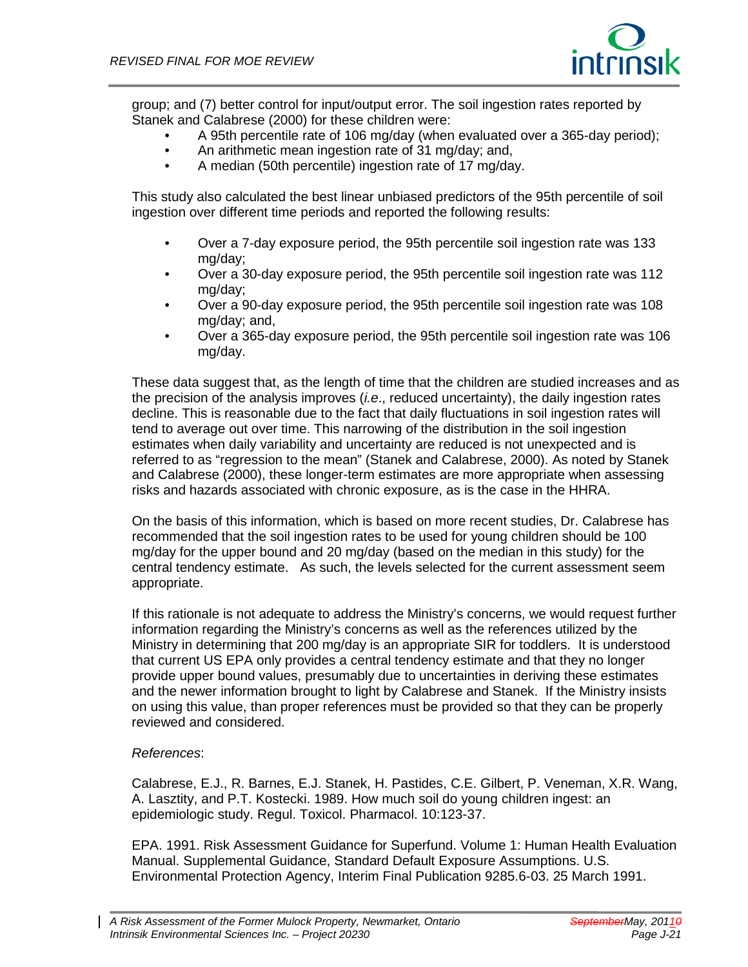

group; and (7) better control for input/output error. The soil ingestion rates reported by Stanek and Calabrese (2000) for these children were:

- A 95th percentile rate of 106 mg/day (when evaluated over a 365-day period);
- An arithmetic mean ingestion rate of 31 mg/day; and,
- A median (50th percentile) ingestion rate of 17 mg/day.

This study also calculated the best linear unbiased predictors of the 95th percentile of soil ingestion over different time periods and reported the following results:

- Over a 7-day exposure period, the 95th percentile soil ingestion rate was 133 mg/day;
- Over a 30-day exposure period, the 95th percentile soil ingestion rate was 112 mg/day;
- Over a 90-day exposure period, the 95th percentile soil ingestion rate was 108 mg/day; and,
- Over a 365-day exposure period, the 95th percentile soil ingestion rate was 106 mg/day.

These data suggest that, as the length of time that the children are studied increases and as the precision of the analysis improves (*i.e*., reduced uncertainty), the daily ingestion rates decline. This is reasonable due to the fact that daily fluctuations in soil ingestion rates will tend to average out over time. This narrowing of the distribution in the soil ingestion estimates when daily variability and uncertainty are reduced is not unexpected and is referred to as "regression to the mean" (Stanek and Calabrese, 2000). As noted by Stanek and Calabrese (2000), these longer-term estimates are more appropriate when assessing risks and hazards associated with chronic exposure, as is the case in the HHRA.

On the basis of this information, which is based on more recent studies, Dr. Calabrese has recommended that the soil ingestion rates to be used for young children should be 100 mg/day for the upper bound and 20 mg/day (based on the median in this study) for the central tendency estimate. As such, the levels selected for the current assessment seem appropriate.

If this rationale is not adequate to address the Ministry's concerns, we would request further information regarding the Ministry's concerns as well as the references utilized by the Ministry in determining that 200 mg/day is an appropriate SIR for toddlers. It is understood that current US EPA only provides a central tendency estimate and that they no longer provide upper bound values, presumably due to uncertainties in deriving these estimates and the newer information brought to light by Calabrese and Stanek. If the Ministry insists on using this value, than proper references must be provided so that they can be properly reviewed and considered.

#### *References*:

Calabrese, E.J., R. Barnes, E.J. Stanek, H. Pastides, C.E. Gilbert, P. Veneman, X.R. Wang, A. Lasztity, and P.T. Kostecki. 1989. How much soil do young children ingest: an epidemiologic study. Regul. Toxicol. Pharmacol. 10:123-37.

EPA. 1991. Risk Assessment Guidance for Superfund. Volume 1: Human Health Evaluation Manual. Supplemental Guidance, Standard Default Exposure Assumptions. U.S. Environmental Protection Agency, Interim Final Publication 9285.6-03. 25 March 1991.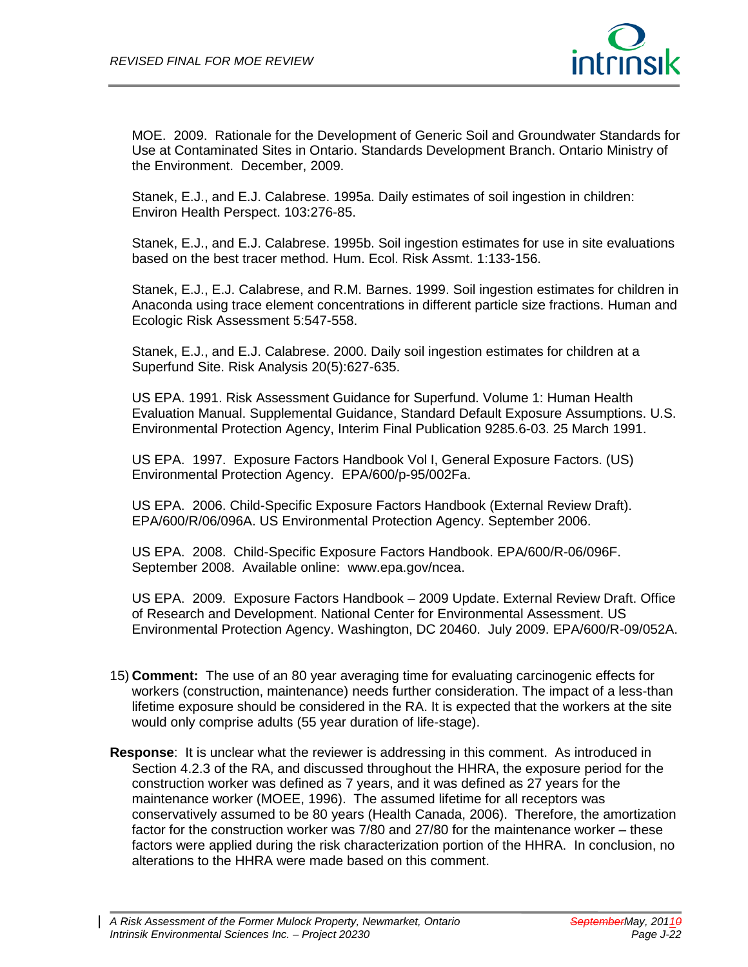

MOE. 2009. Rationale for the Development of Generic Soil and Groundwater Standards for Use at Contaminated Sites in Ontario. Standards Development Branch. Ontario Ministry of the Environment. December, 2009.

Stanek, E.J., and E.J. Calabrese. 1995a. Daily estimates of soil ingestion in children: Environ Health Perspect. 103:276-85.

Stanek, E.J., and E.J. Calabrese. 1995b. Soil ingestion estimates for use in site evaluations based on the best tracer method. Hum. Ecol. Risk Assmt. 1:133-156.

Stanek, E.J., E.J. Calabrese, and R.M. Barnes. 1999. Soil ingestion estimates for children in Anaconda using trace element concentrations in different particle size fractions. Human and Ecologic Risk Assessment 5:547-558.

Stanek, E.J., and E.J. Calabrese. 2000. Daily soil ingestion estimates for children at a Superfund Site. Risk Analysis 20(5):627-635.

US EPA. 1991. Risk Assessment Guidance for Superfund. Volume 1: Human Health Evaluation Manual. Supplemental Guidance, Standard Default Exposure Assumptions. U.S. Environmental Protection Agency, Interim Final Publication 9285.6-03. 25 March 1991.

US EPA. 1997. Exposure Factors Handbook Vol I, General Exposure Factors. (US) Environmental Protection Agency. EPA/600/p-95/002Fa.

US EPA. 2006. Child-Specific Exposure Factors Handbook (External Review Draft). EPA/600/R/06/096A. US Environmental Protection Agency. September 2006.

US EPA. 2008. Child-Specific Exposure Factors Handbook. EPA/600/R-06/096F. September 2008. Available online: www.epa.gov/ncea.

US EPA. 2009. Exposure Factors Handbook – 2009 Update. External Review Draft. Office of Research and Development. National Center for Environmental Assessment. US Environmental Protection Agency. Washington, DC 20460. July 2009. EPA/600/R-09/052A.

- 15) **Comment:** The use of an 80 year averaging time for evaluating carcinogenic effects for workers (construction, maintenance) needs further consideration. The impact of a less-than lifetime exposure should be considered in the RA. It is expected that the workers at the site would only comprise adults (55 year duration of life-stage).
- **Response**: It is unclear what the reviewer is addressing in this comment. As introduced in Section 4.2.3 of the RA, and discussed throughout the HHRA, the exposure period for the construction worker was defined as 7 years, and it was defined as 27 years for the maintenance worker (MOEE, 1996). The assumed lifetime for all receptors was conservatively assumed to be 80 years (Health Canada, 2006). Therefore, the amortization factor for the construction worker was 7/80 and 27/80 for the maintenance worker – these factors were applied during the risk characterization portion of the HHRA. In conclusion, no alterations to the HHRA were made based on this comment.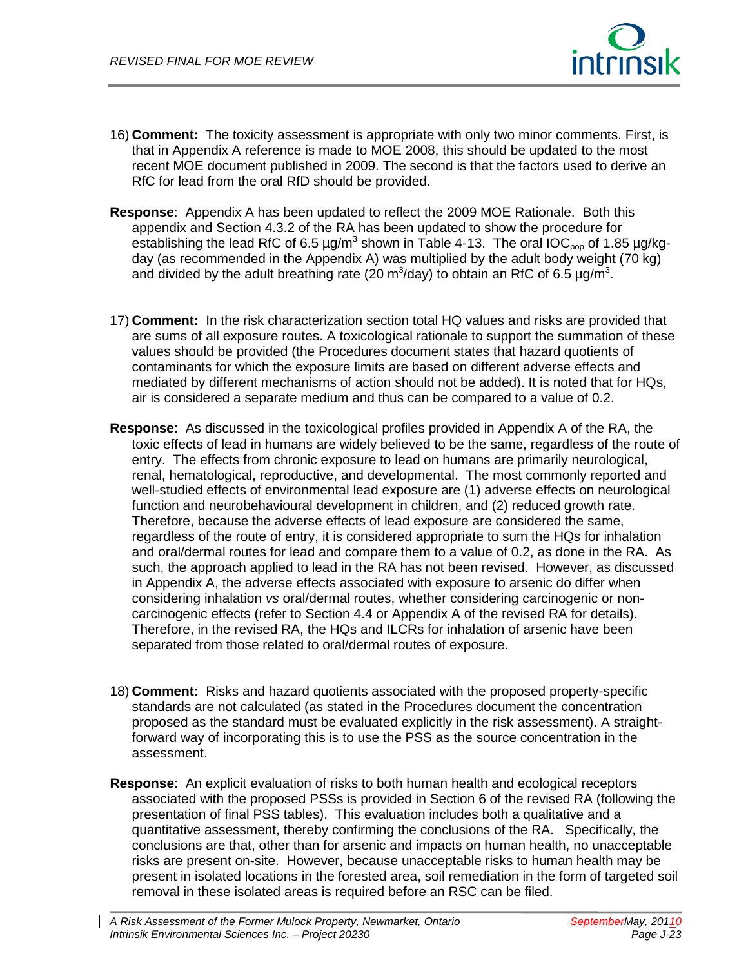

- 16) **Comment:** The toxicity assessment is appropriate with only two minor comments. First, is that in Appendix A reference is made to MOE 2008, this should be updated to the most recent MOE document published in 2009. The second is that the factors used to derive an RfC for lead from the oral RfD should be provided.
- **Response**: Appendix A has been updated to reflect the 2009 MOE Rationale. Both this appendix and Section 4.3.2 of the RA has been updated to show the procedure for establishing the lead RfC of 6.5  $\mu$ g/m<sup>3</sup> shown in Table 4-13. The oral IOC<sub>pop</sub> of 1.85  $\mu$ g/kgday (as recommended in the Appendix A) was multiplied by the adult body weight (70 kg) and divided by the adult breathing rate (20 m<sup>3</sup>/day) to obtain an RfC of 6.5  $\mu$ g/m<sup>3</sup>.
- 17) **Comment:** In the risk characterization section total HQ values and risks are provided that are sums of all exposure routes. A toxicological rationale to support the summation of these values should be provided (the Procedures document states that hazard quotients of contaminants for which the exposure limits are based on different adverse effects and mediated by different mechanisms of action should not be added). It is noted that for HQs, air is considered a separate medium and thus can be compared to a value of 0.2.
- **Response**: As discussed in the toxicological profiles provided in Appendix A of the RA, the toxic effects of lead in humans are widely believed to be the same, regardless of the route of entry. The effects from chronic exposure to lead on humans are primarily neurological, renal, hematological, reproductive, and developmental. The most commonly reported and well-studied effects of environmental lead exposure are (1) adverse effects on neurological function and neurobehavioural development in children, and (2) reduced growth rate. Therefore, because the adverse effects of lead exposure are considered the same, regardless of the route of entry, it is considered appropriate to sum the HQs for inhalation and oral/dermal routes for lead and compare them to a value of 0.2, as done in the RA. As such, the approach applied to lead in the RA has not been revised. However, as discussed in Appendix A, the adverse effects associated with exposure to arsenic do differ when considering inhalation *vs* oral/dermal routes, whether considering carcinogenic or noncarcinogenic effects (refer to Section 4.4 or Appendix A of the revised RA for details). Therefore, in the revised RA, the HQs and ILCRs for inhalation of arsenic have been separated from those related to oral/dermal routes of exposure.
- 18) **Comment:** Risks and hazard quotients associated with the proposed property-specific standards are not calculated (as stated in the Procedures document the concentration proposed as the standard must be evaluated explicitly in the risk assessment). A straightforward way of incorporating this is to use the PSS as the source concentration in the assessment.
- **Response**: An explicit evaluation of risks to both human health and ecological receptors associated with the proposed PSSs is provided in Section 6 of the revised RA (following the presentation of final PSS tables). This evaluation includes both a qualitative and a quantitative assessment, thereby confirming the conclusions of the RA. Specifically, the conclusions are that, other than for arsenic and impacts on human health, no unacceptable risks are present on-site. However, because unacceptable risks to human health may be present in isolated locations in the forested area, soil remediation in the form of targeted soil removal in these isolated areas is required before an RSC can be filed.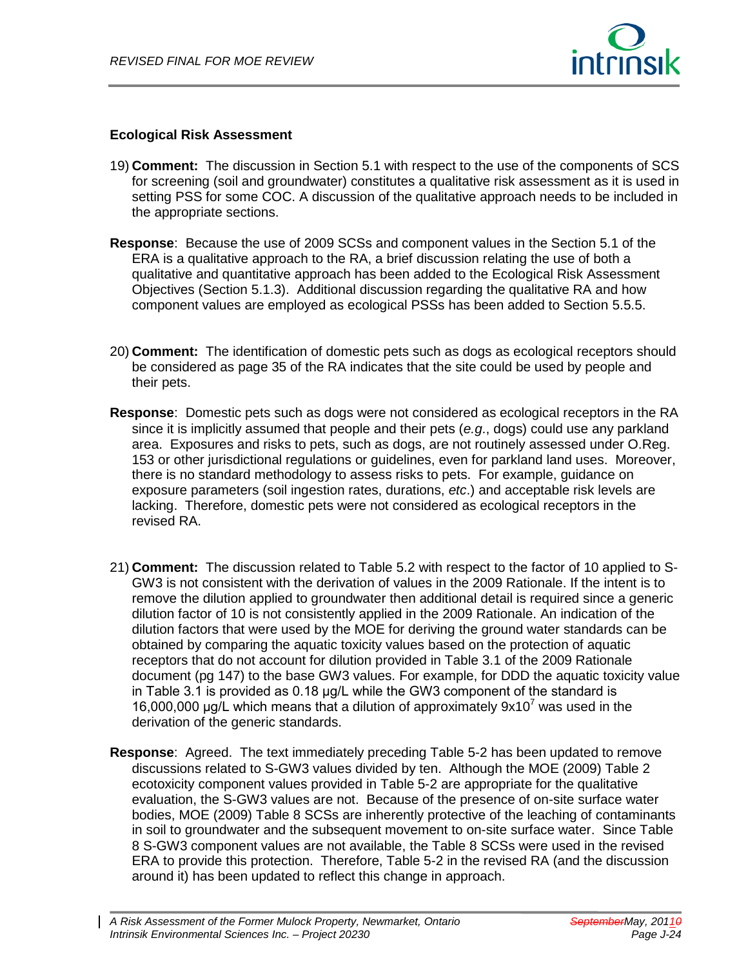

#### **Ecological Risk Assessment**

- 19) **Comment:** The discussion in Section 5.1 with respect to the use of the components of SCS for screening (soil and groundwater) constitutes a qualitative risk assessment as it is used in setting PSS for some COC. A discussion of the qualitative approach needs to be included in the appropriate sections.
- **Response**: Because the use of 2009 SCSs and component values in the Section 5.1 of the ERA is a qualitative approach to the RA, a brief discussion relating the use of both a qualitative and quantitative approach has been added to the Ecological Risk Assessment Objectives (Section 5.1.3). Additional discussion regarding the qualitative RA and how component values are employed as ecological PSSs has been added to Section 5.5.5.
- 20) **Comment:** The identification of domestic pets such as dogs as ecological receptors should be considered as page 35 of the RA indicates that the site could be used by people and their pets.
- **Response**: Domestic pets such as dogs were not considered as ecological receptors in the RA since it is implicitly assumed that people and their pets (*e.g*., dogs) could use any parkland area. Exposures and risks to pets, such as dogs, are not routinely assessed under O.Reg. 153 or other jurisdictional regulations or guidelines, even for parkland land uses. Moreover, there is no standard methodology to assess risks to pets. For example, guidance on exposure parameters (soil ingestion rates, durations, *etc*.) and acceptable risk levels are lacking. Therefore, domestic pets were not considered as ecological receptors in the revised RA.
- 21) **Comment:** The discussion related to Table 5.2 with respect to the factor of 10 applied to S-GW3 is not consistent with the derivation of values in the 2009 Rationale. If the intent is to remove the dilution applied to groundwater then additional detail is required since a generic dilution factor of 10 is not consistently applied in the 2009 Rationale. An indication of the dilution factors that were used by the MOE for deriving the ground water standards can be obtained by comparing the aquatic toxicity values based on the protection of aquatic receptors that do not account for dilution provided in Table 3.1 of the 2009 Rationale document (pg 147) to the base GW3 values. For example, for DDD the aquatic toxicity value in Table 3.1 is provided as 0.18 μg/L while the GW3 component of the standard is 16,000,000 µg/L which means that a dilution of approximately  $9x10^7$  was used in the derivation of the generic standards.
- **Response**: Agreed. The text immediately preceding Table 5-2 has been updated to remove discussions related to S-GW3 values divided by ten. Although the MOE (2009) Table 2 ecotoxicity component values provided in Table 5-2 are appropriate for the qualitative evaluation, the S-GW3 values are not. Because of the presence of on-site surface water bodies, MOE (2009) Table 8 SCSs are inherently protective of the leaching of contaminants in soil to groundwater and the subsequent movement to on-site surface water. Since Table 8 S-GW3 component values are not available, the Table 8 SCSs were used in the revised ERA to provide this protection. Therefore, Table 5-2 in the revised RA (and the discussion around it) has been updated to reflect this change in approach.

*A Risk Assessment of the Former Mulock Property, Newmarket, Ontario SeptemberMay, 20110 Intrinsik Environmental Sciences Inc. – Project 20230*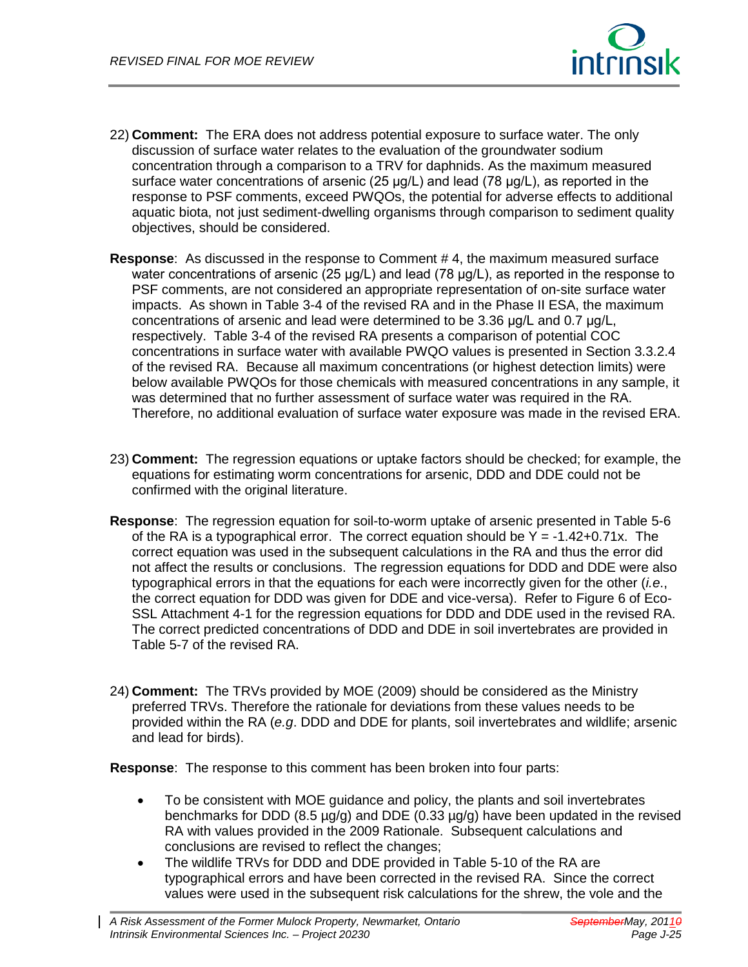

- 22) **Comment:** The ERA does not address potential exposure to surface water. The only discussion of surface water relates to the evaluation of the groundwater sodium concentration through a comparison to a TRV for daphnids. As the maximum measured surface water concentrations of arsenic (25 μg/L) and lead (78 μg/L), as reported in the response to PSF comments, exceed PWQOs, the potential for adverse effects to additional aquatic biota, not just sediment-dwelling organisms through comparison to sediment quality objectives, should be considered.
- **Response**: As discussed in the response to Comment # 4, the maximum measured surface water concentrations of arsenic (25 μg/L) and lead (78 μg/L), as reported in the response to PSF comments, are not considered an appropriate representation of on-site surface water impacts. As shown in Table 3-4 of the revised RA and in the Phase II ESA, the maximum concentrations of arsenic and lead were determined to be 3.36 μg/L and 0.7 μg/L, respectively. Table 3-4 of the revised RA presents a comparison of potential COC concentrations in surface water with available PWQO values is presented in Section 3.3.2.4 of the revised RA. Because all maximum concentrations (or highest detection limits) were below available PWQOs for those chemicals with measured concentrations in any sample, it was determined that no further assessment of surface water was required in the RA. Therefore, no additional evaluation of surface water exposure was made in the revised ERA.
- 23) **Comment:** The regression equations or uptake factors should be checked; for example, the equations for estimating worm concentrations for arsenic, DDD and DDE could not be confirmed with the original literature.
- **Response**: The regression equation for soil-to-worm uptake of arsenic presented in Table 5-6 of the RA is a typographical error. The correct equation should be  $Y = -1.42+0.71x$ . The correct equation was used in the subsequent calculations in the RA and thus the error did not affect the results or conclusions. The regression equations for DDD and DDE were also typographical errors in that the equations for each were incorrectly given for the other (*i.e*., the correct equation for DDD was given for DDE and vice-versa). Refer to Figure 6 of Eco-SSL Attachment 4-1 for the regression equations for DDD and DDE used in the revised RA. The correct predicted concentrations of DDD and DDE in soil invertebrates are provided in Table 5-7 of the revised RA.
- 24) **Comment:** The TRVs provided by MOE (2009) should be considered as the Ministry preferred TRVs. Therefore the rationale for deviations from these values needs to be provided within the RA (*e.g*. DDD and DDE for plants, soil invertebrates and wildlife; arsenic and lead for birds).

**Response**: The response to this comment has been broken into four parts:

- To be consistent with MOE guidance and policy, the plants and soil invertebrates benchmarks for DDD (8.5 µg/g) and DDE (0.33 µg/g) have been updated in the revised RA with values provided in the 2009 Rationale. Subsequent calculations and conclusions are revised to reflect the changes;
- The wildlife TRVs for DDD and DDE provided in Table 5-10 of the RA are typographical errors and have been corrected in the revised RA. Since the correct values were used in the subsequent risk calculations for the shrew, the vole and the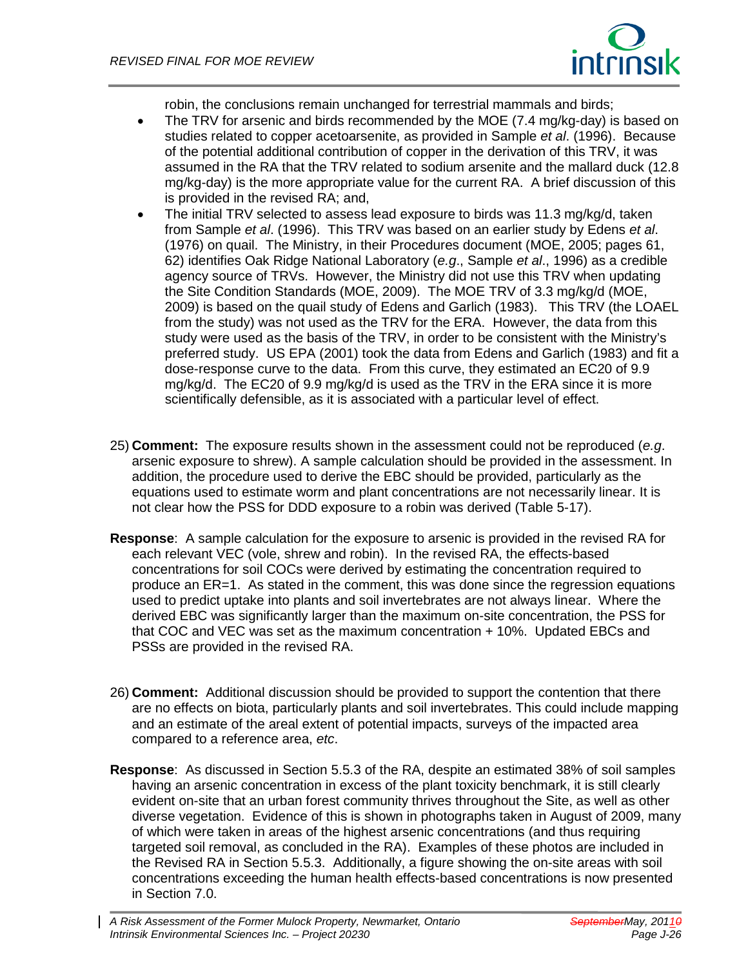

robin, the conclusions remain unchanged for terrestrial mammals and birds;

- The TRV for arsenic and birds recommended by the MOE (7.4 mg/kg-day) is based on studies related to copper acetoarsenite, as provided in Sample *et al*. (1996). Because of the potential additional contribution of copper in the derivation of this TRV, it was assumed in the RA that the TRV related to sodium arsenite and the mallard duck (12.8 mg/kg-day) is the more appropriate value for the current RA. A brief discussion of this is provided in the revised RA; and,
- The initial TRV selected to assess lead exposure to birds was 11.3 mg/kg/d, taken from Sample *et al*. (1996). This TRV was based on an earlier study by Edens *et al*. (1976) on quail. The Ministry, in their Procedures document (MOE, 2005; pages 61, 62) identifies Oak Ridge National Laboratory (*e.g*., Sample *et al*., 1996) as a credible agency source of TRVs. However, the Ministry did not use this TRV when updating the Site Condition Standards (MOE, 2009). The MOE TRV of 3.3 mg/kg/d (MOE, 2009) is based on the quail study of Edens and Garlich (1983). This TRV (the LOAEL from the study) was not used as the TRV for the ERA. However, the data from this study were used as the basis of the TRV, in order to be consistent with the Ministry's preferred study. US EPA (2001) took the data from Edens and Garlich (1983) and fit a dose-response curve to the data. From this curve, they estimated an EC20 of 9.9 mg/kg/d. The EC20 of 9.9 mg/kg/d is used as the TRV in the ERA since it is more scientifically defensible, as it is associated with a particular level of effect.
- 25) **Comment:** The exposure results shown in the assessment could not be reproduced (*e.g*. arsenic exposure to shrew). A sample calculation should be provided in the assessment. In addition, the procedure used to derive the EBC should be provided, particularly as the equations used to estimate worm and plant concentrations are not necessarily linear. It is not clear how the PSS for DDD exposure to a robin was derived (Table 5-17).
- **Response**: A sample calculation for the exposure to arsenic is provided in the revised RA for each relevant VEC (vole, shrew and robin). In the revised RA, the effects-based concentrations for soil COCs were derived by estimating the concentration required to produce an ER=1. As stated in the comment, this was done since the regression equations used to predict uptake into plants and soil invertebrates are not always linear. Where the derived EBC was significantly larger than the maximum on-site concentration, the PSS for that COC and VEC was set as the maximum concentration + 10%. Updated EBCs and PSSs are provided in the revised RA.
- 26) **Comment:** Additional discussion should be provided to support the contention that there are no effects on biota, particularly plants and soil invertebrates. This could include mapping and an estimate of the areal extent of potential impacts, surveys of the impacted area compared to a reference area, *etc*.
- **Response**: As discussed in Section 5.5.3 of the RA, despite an estimated 38% of soil samples having an arsenic concentration in excess of the plant toxicity benchmark, it is still clearly evident on-site that an urban forest community thrives throughout the Site, as well as other diverse vegetation. Evidence of this is shown in photographs taken in August of 2009, many of which were taken in areas of the highest arsenic concentrations (and thus requiring targeted soil removal, as concluded in the RA). Examples of these photos are included in the Revised RA in Section 5.5.3. Additionally, a figure showing the on-site areas with soil concentrations exceeding the human health effects-based concentrations is now presented in Section 7.0.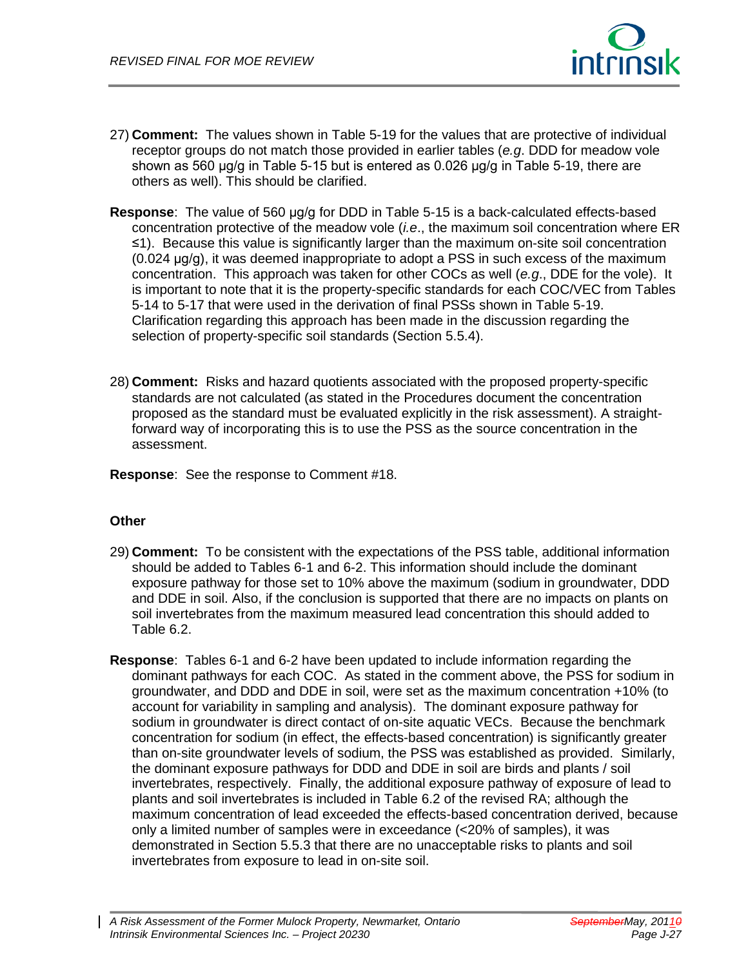

- 27) **Comment:** The values shown in Table 5-19 for the values that are protective of individual receptor groups do not match those provided in earlier tables (*e.g*. DDD for meadow vole shown as 560 μg/g in Table 5-15 but is entered as 0.026 μg/g in Table 5-19, there are others as well). This should be clarified.
- **Response**: The value of 560 μg/g for DDD in Table 5-15 is a back-calculated effects-based concentration protective of the meadow vole (*i.e*., the maximum soil concentration where ER ≤1). Because this value is significantly larger than the maximum on-site soil concentration (0.024 μg/g), it was deemed inappropriate to adopt a PSS in such excess of the maximum concentration. This approach was taken for other COCs as well (*e.g*., DDE for the vole). It is important to note that it is the property-specific standards for each COC/VEC from Tables 5-14 to 5-17 that were used in the derivation of final PSSs shown in Table 5-19. Clarification regarding this approach has been made in the discussion regarding the selection of property-specific soil standards (Section 5.5.4).
- 28) **Comment:** Risks and hazard quotients associated with the proposed property-specific standards are not calculated (as stated in the Procedures document the concentration proposed as the standard must be evaluated explicitly in the risk assessment). A straightforward way of incorporating this is to use the PSS as the source concentration in the assessment.

**Response**: See the response to Comment #18.

# **Other**

- 29) **Comment:** To be consistent with the expectations of the PSS table, additional information should be added to Tables 6-1 and 6-2. This information should include the dominant exposure pathway for those set to 10% above the maximum (sodium in groundwater, DDD and DDE in soil. Also, if the conclusion is supported that there are no impacts on plants on soil invertebrates from the maximum measured lead concentration this should added to Table 6.2.
- **Response**: Tables 6-1 and 6-2 have been updated to include information regarding the dominant pathways for each COC. As stated in the comment above, the PSS for sodium in groundwater, and DDD and DDE in soil, were set as the maximum concentration +10% (to account for variability in sampling and analysis). The dominant exposure pathway for sodium in groundwater is direct contact of on-site aquatic VECs. Because the benchmark concentration for sodium (in effect, the effects-based concentration) is significantly greater than on-site groundwater levels of sodium, the PSS was established as provided. Similarly, the dominant exposure pathways for DDD and DDE in soil are birds and plants / soil invertebrates, respectively. Finally, the additional exposure pathway of exposure of lead to plants and soil invertebrates is included in Table 6.2 of the revised RA; although the maximum concentration of lead exceeded the effects-based concentration derived, because only a limited number of samples were in exceedance (<20% of samples), it was demonstrated in Section 5.5.3 that there are no unacceptable risks to plants and soil invertebrates from exposure to lead in on-site soil.